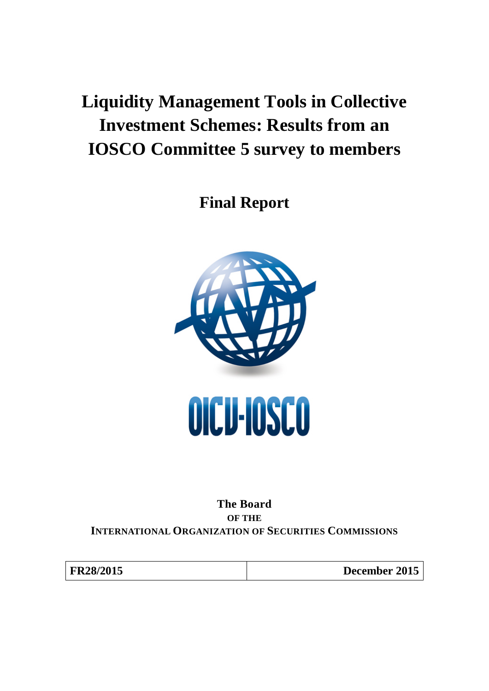# <span id="page-0-0"></span>**Liquidity Management Tools in Collective Investment Schemes: Results from an IOSCO Committee 5 survey to members**

**Final Report**



**The Board OF THE INTERNATIONAL ORGANIZATION OF SECURITIES COMMISSIONS**

| FR28/2015 |  |
|-----------|--|
|-----------|--|

**December 2015**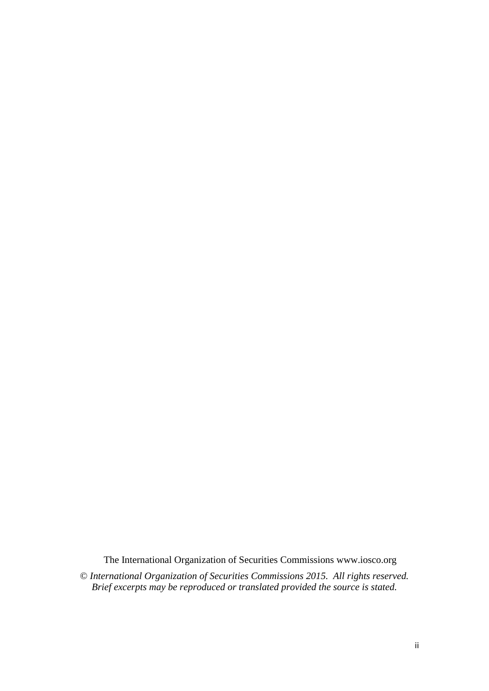The International Organization of Securities Commissions www.iosco.org

© *International Organization of Securities Commissions 2015. All rights reserved. Brief excerpts may be reproduced or translated provided the source is stated.*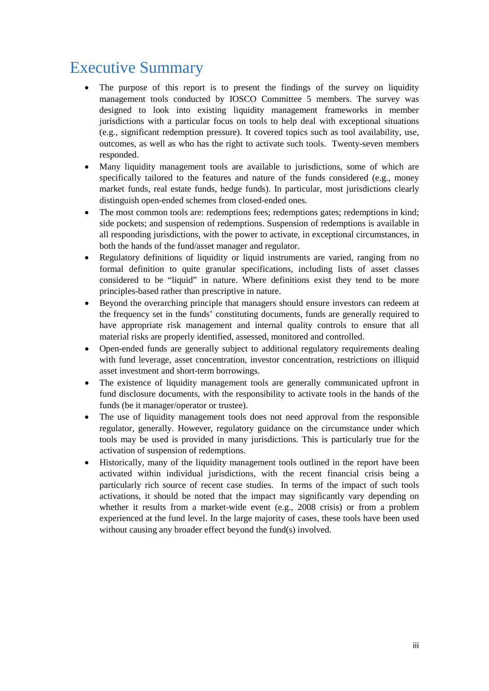## Executive Summary

- The purpose of this report is to present the findings of the survey on liquidity management tools conducted by IOSCO Committee 5 members. The survey was designed to look into existing liquidity management frameworks in member jurisdictions with a particular focus on tools to help deal with exceptional situations (e.g., significant redemption pressure). It covered topics such as tool availability, use, outcomes, as well as who has the right to activate such tools. Twenty-seven members responded.
- Many liquidity management tools are available to jurisdictions, some of which are specifically tailored to the features and nature of the funds considered (e.g., money market funds, real estate funds, hedge funds). In particular, most jurisdictions clearly distinguish open-ended schemes from closed-ended ones.
- The most common tools are: redemptions fees; redemptions gates; redemptions in kind; side pockets; and suspension of redemptions. Suspension of redemptions is available in all responding jurisdictions, with the power to activate, in exceptional circumstances, in both the hands of the fund/asset manager and regulator.
- Regulatory definitions of liquidity or liquid instruments are varied, ranging from no formal definition to quite granular specifications, including lists of asset classes considered to be "liquid" in nature. Where definitions exist they tend to be more principles-based rather than prescriptive in nature.
- Beyond the overarching principle that managers should ensure investors can redeem at the frequency set in the funds' constituting documents, funds are generally required to have appropriate risk management and internal quality controls to ensure that all material risks are properly identified, assessed, monitored and controlled.
- Open-ended funds are generally subject to additional regulatory requirements dealing with fund leverage, asset concentration, investor concentration, restrictions on illiquid asset investment and short-term borrowings.
- The existence of liquidity management tools are generally communicated upfront in fund disclosure documents, with the responsibility to activate tools in the hands of the funds (be it manager/operator or trustee).
- The use of liquidity management tools does not need approval from the responsible regulator, generally. However, regulatory guidance on the circumstance under which tools may be used is provided in many jurisdictions. This is particularly true for the activation of suspension of redemptions.
- Historically, many of the liquidity management tools outlined in the report have been activated within individual jurisdictions, with the recent financial crisis being a particularly rich source of recent case studies. In terms of the impact of such tools activations, it should be noted that the impact may significantly vary depending on whether it results from a market-wide event (e.g., 2008 crisis) or from a problem experienced at the fund level. In the large majority of cases, these tools have been used without causing any broader effect beyond the fund(s) involved.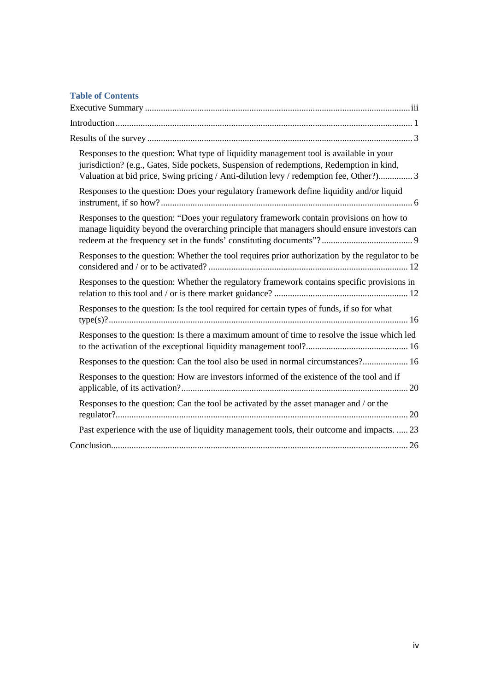### **Table of Contents**

| Responses to the question: What type of liquidity management tool is available in your<br>jurisdiction? (e.g., Gates, Side pockets, Suspension of redemptions, Redemption in kind,<br>Valuation at bid price, Swing pricing / Anti-dilution levy / redemption fee, Other?) 3 |
|------------------------------------------------------------------------------------------------------------------------------------------------------------------------------------------------------------------------------------------------------------------------------|
| Responses to the question: Does your regulatory framework define liquidity and/or liquid                                                                                                                                                                                     |
| Responses to the question: "Does your regulatory framework contain provisions on how to<br>manage liquidity beyond the overarching principle that managers should ensure investors can                                                                                       |
| Responses to the question: Whether the tool requires prior authorization by the regulator to be                                                                                                                                                                              |
| Responses to the question: Whether the regulatory framework contains specific provisions in                                                                                                                                                                                  |
| Responses to the question: Is the tool required for certain types of funds, if so for what                                                                                                                                                                                   |
| Responses to the question: Is there a maximum amount of time to resolve the issue which led                                                                                                                                                                                  |
| Responses to the question: Can the tool also be used in normal circumstances? 16                                                                                                                                                                                             |
| Responses to the question: How are investors informed of the existence of the tool and if                                                                                                                                                                                    |
| Responses to the question: Can the tool be activated by the asset manager and / or the                                                                                                                                                                                       |
| Past experience with the use of liquidity management tools, their outcome and impacts.  23                                                                                                                                                                                   |
|                                                                                                                                                                                                                                                                              |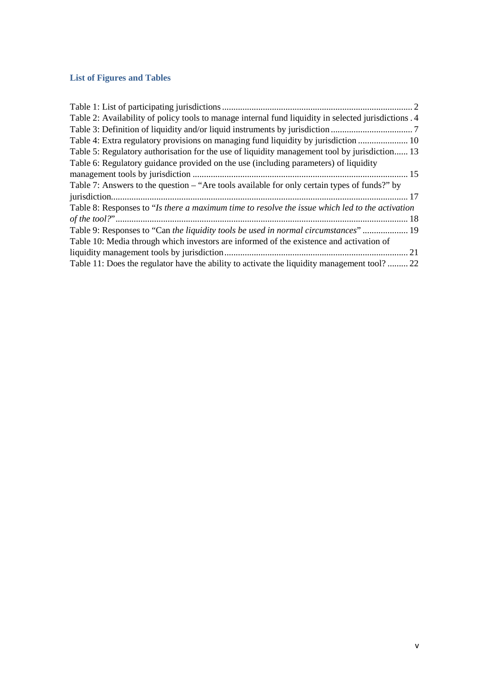### **List of Figures and Tables**

<span id="page-4-0"></span>

| Table 2: Availability of policy tools to manage internal fund liquidity in selected jurisdictions . 4 |
|-------------------------------------------------------------------------------------------------------|
|                                                                                                       |
| Table 4: Extra regulatory provisions on managing fund liquidity by jurisdiction  10                   |
| Table 5: Regulatory authorisation for the use of liquidity management tool by jurisdiction 13         |
| Table 6: Regulatory guidance provided on the use (including parameters) of liquidity                  |
|                                                                                                       |
| Table 7: Answers to the question $-\text{``Are tools available for only certain types of funds''}$ by |
|                                                                                                       |
| Table 8: Responses to "Is there a maximum time to resolve the issue which led to the activation       |
|                                                                                                       |
| Table 9: Responses to "Can the liquidity tools be used in normal circumstances"  19                   |
| Table 10: Media through which investors are informed of the existence and activation of               |
|                                                                                                       |
| Table 11: Does the regulator have the ability to activate the liquidity management tool? 22           |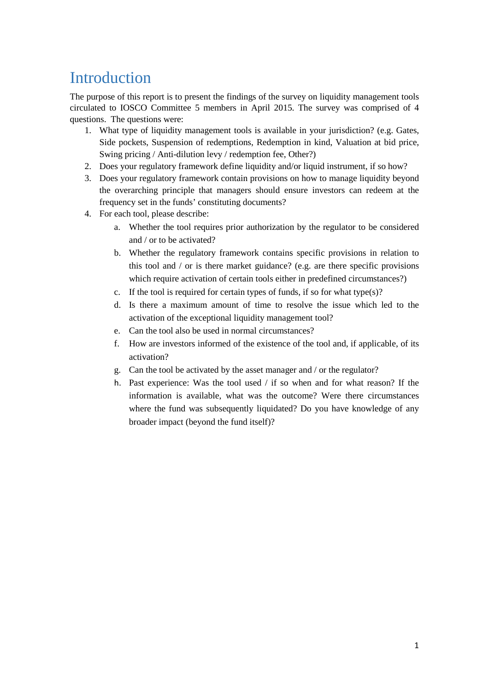## Introduction

The purpose of this report is to present the findings of the survey on liquidity management tools circulated to IOSCO Committee 5 members in April 2015. The survey was comprised of 4 questions. The questions were:

- 1. What type of liquidity management tools is available in your jurisdiction? (e.g. Gates, Side pockets, Suspension of redemptions, Redemption in kind, Valuation at bid price, Swing pricing / Anti-dilution levy / redemption fee, Other?)
- 2. Does your regulatory framework define liquidity and/or liquid instrument, if so how?
- 3. Does your regulatory framework contain provisions on how to manage liquidity beyond the overarching principle that managers should ensure investors can redeem at the frequency set in the funds' constituting documents?
- 4. For each tool, please describe:
	- a. Whether the tool requires prior authorization by the regulator to be considered and / or to be activated?
	- b. Whether the regulatory framework contains specific provisions in relation to this tool and / or is there market guidance? (e.g. are there specific provisions which require activation of certain tools either in predefined circumstances?)
	- c. If the tool is required for certain types of funds, if so for what type $(s)$ ?
	- d. Is there a maximum amount of time to resolve the issue which led to the activation of the exceptional liquidity management tool?
	- e. Can the tool also be used in normal circumstances?
	- f. How are investors informed of the existence of the tool and, if applicable, of its activation?
	- g. Can the tool be activated by the asset manager and / or the regulator?
	- h. Past experience: Was the tool used / if so when and for what reason? If the information is available, what was the outcome? Were there circumstances where the fund was subsequently liquidated? Do you have knowledge of any broader impact (beyond the fund itself)?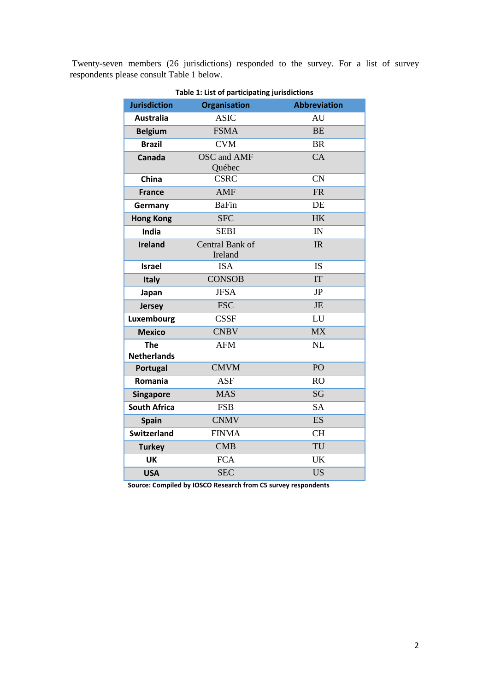<span id="page-6-0"></span>Twenty-seven members (26 jurisdictions) responded to the survey. For a list of survey respondents please consult [Table 1](#page-6-0) below.

| <b>Jurisdiction</b>              | <b>Organisation</b>          | <b>Abbreviation</b> |
|----------------------------------|------------------------------|---------------------|
| <b>Australia</b>                 | <b>ASIC</b>                  | AU                  |
| <b>Belgium</b>                   | <b>FSMA</b>                  | <b>BE</b>           |
| <b>Brazil</b>                    | <b>CVM</b>                   | <b>BR</b>           |
| Canada                           | <b>OSC</b> and AMF<br>Québec | CA                  |
| China                            | <b>CSRC</b>                  | <b>CN</b>           |
| <b>France</b>                    | <b>AMF</b>                   | <b>FR</b>           |
| Germany                          | <b>BaFin</b>                 | DE                  |
| <b>Hong Kong</b>                 | <b>SFC</b>                   | <b>HK</b>           |
| <b>India</b>                     | <b>SEBI</b>                  | IN                  |
| <b>Ireland</b>                   | Central Bank of<br>Ireland   | IR                  |
| <b>Israel</b>                    | <b>ISA</b>                   | IS                  |
| Italy                            | <b>CONSOB</b>                | IT                  |
| Japan                            | <b>JFSA</b>                  | JP                  |
| <b>Jersey</b>                    | <b>FSC</b>                   | <b>JE</b>           |
| Luxembourg                       | <b>CSSF</b>                  | LU                  |
| <b>Mexico</b>                    | <b>CNBV</b>                  | <b>MX</b>           |
| <b>The</b><br><b>Netherlands</b> | <b>AFM</b>                   | NL                  |
| Portugal                         | <b>CMVM</b>                  | PO                  |
| Romania                          | <b>ASF</b>                   | <b>RO</b>           |
| <b>Singapore</b>                 | <b>MAS</b>                   | <b>SG</b>           |
| <b>South Africa</b>              | <b>FSB</b>                   | <b>SA</b>           |
| <b>Spain</b>                     | <b>CNMV</b>                  | <b>ES</b>           |
| <b>Switzerland</b>               | <b>FINMA</b>                 | <b>CH</b>           |
| <b>Turkey</b>                    | <b>CMB</b>                   | TU                  |
| <b>UK</b>                        | <b>FCA</b>                   | <b>UK</b>           |
| <b>USA</b>                       | <b>SEC</b>                   | <b>US</b>           |

**Table 1: List of participating jurisdictions**

**Source: Compiled by IOSCO Research from C5 survey respondents**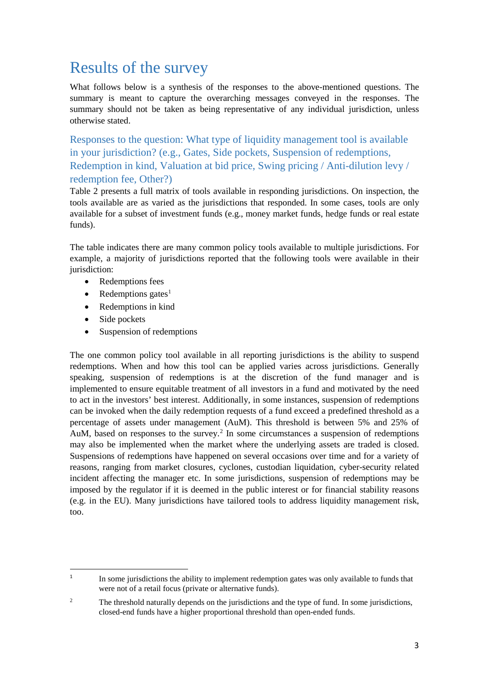## <span id="page-7-0"></span>Results of the survey

What follows below is a synthesis of the responses to the above-mentioned questions. The summary is meant to capture the overarching messages conveyed in the responses. The summary should not be taken as being representative of any individual jurisdiction, unless otherwise stated.

<span id="page-7-1"></span>Responses to the question: What type of liquidity management tool is available in your jurisdiction? (e.g., Gates, Side pockets, Suspension of redemptions, Redemption in kind, Valuation at bid price, Swing pricing / Anti-dilution levy / redemption fee, Other?)

[Table 2](#page-8-0) presents a full matrix of tools available in responding jurisdictions. On inspection, the tools available are as varied as the jurisdictions that responded. In some cases, tools are only available for a subset of investment funds (e.g., money market funds, hedge funds or real estate funds).

The table indicates there are many common policy tools available to multiple jurisdictions. For example, a majority of jurisdictions reported that the following tools were available in their jurisdiction:

- Redemptions fees
- Redemptions gates $<sup>1</sup>$  $<sup>1</sup>$  $<sup>1</sup>$ </sup>
- Redemptions in kind
- Side pockets
- Suspension of redemptions

The one common policy tool available in all reporting jurisdictions is the ability to suspend redemptions. When and how this tool can be applied varies across jurisdictions. Generally speaking, suspension of redemptions is at the discretion of the fund manager and is implemented to ensure equitable treatment of all investors in a fund and motivated by the need to act in the investors' best interest. Additionally, in some instances, suspension of redemptions can be invoked when the daily redemption requests of a fund exceed a predefined threshold as a percentage of assets under management (AuM). This threshold is between 5% and 25% of AuM, based on responses to the survey.<sup>[2](#page-7-3)</sup> In some circumstances a suspension of redemptions may also be implemented when the market where the underlying assets are traded is closed. Suspensions of redemptions have happened on several occasions over time and for a variety of reasons, ranging from market closures, cyclones, custodian liquidation, cyber-security related incident affecting the manager etc. In some jurisdictions, suspension of redemptions may be imposed by the regulator if it is deemed in the public interest or for financial stability reasons (e.g. in the EU). Many jurisdictions have tailored tools to address liquidity management risk, too.

<span id="page-7-2"></span> $\frac{1}{1}$ <sup>1</sup> In some jurisdictions the ability to implement redemption gates was only available to funds that were not of a retail focus (private or alternative funds).

<span id="page-7-3"></span><sup>&</sup>lt;sup>2</sup> The threshold naturally depends on the jurisdictions and the type of fund. In some jurisdictions, closed-end funds have a higher proportional threshold than open-ended funds.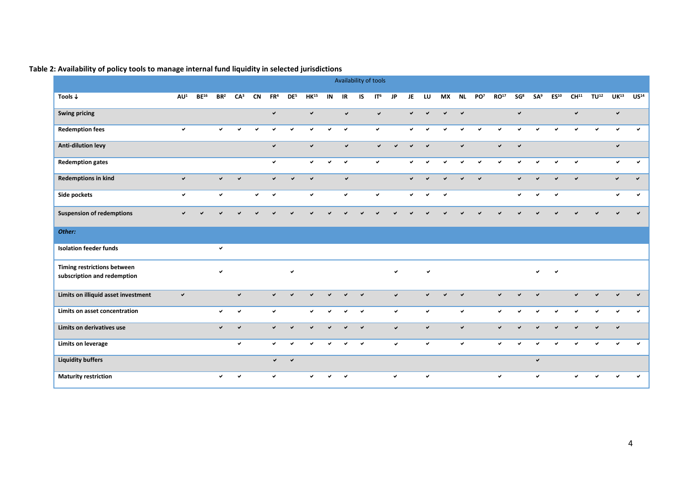<span id="page-8-0"></span>

|                                                            |                 |           |                 |                 |              |                 |                 |              |              |              |              | Availability of tools |              |              |                          |                          |              |                 |                  |                 |                 |                  |                  |              |                  |                          |
|------------------------------------------------------------|-----------------|-----------|-----------------|-----------------|--------------|-----------------|-----------------|--------------|--------------|--------------|--------------|-----------------------|--------------|--------------|--------------------------|--------------------------|--------------|-----------------|------------------|-----------------|-----------------|------------------|------------------|--------------|------------------|--------------------------|
| Tools $\downarrow$                                         | AU <sup>1</sup> | $BE^{16}$ | BR <sup>2</sup> | CA <sup>3</sup> | <b>CN</b>    | FR <sup>4</sup> | DE <sup>5</sup> | $HK^{15}$    | IN           | IR           | IS.          | IT <sup>6</sup>       | <b>JP</b>    | JE           | LU                       | <b>MX</b>                | <b>NL</b>    | PO <sup>7</sup> | RO <sup>17</sup> | SG <sup>8</sup> | SA <sup>9</sup> | ES <sup>10</sup> | CH <sup>11</sup> | $TU^{12}$    | UK <sup>13</sup> | US <sup>14</sup>         |
| <b>Swing pricing</b>                                       |                 |           |                 |                 |              | $\checkmark$    |                 | $\checkmark$ |              | $\checkmark$ |              | $\checkmark$          |              | $\checkmark$ | $\overline{\phantom{0}}$ | $\overline{\phantom{0}}$ | $\checkmark$ |                 |                  | $\checkmark$    |                 |                  | $\checkmark$     |              | $\checkmark$     |                          |
| <b>Redemption fees</b>                                     | $\checkmark$    |           | $\checkmark$    | $\checkmark$    | $\checkmark$ | $\checkmark$    | $\checkmark$    | v            | $\checkmark$ | $\checkmark$ |              | $\checkmark$          |              | $\checkmark$ | $\checkmark$             | $\checkmark$             | $\checkmark$ | $\checkmark$    | $\checkmark$     | ◡               | ◡               |                  | $\checkmark$     | $\checkmark$ | ◡                | u                        |
| Anti-dilution levy                                         |                 |           |                 |                 |              | $\checkmark$    |                 | $\checkmark$ |              | $\checkmark$ |              | $\checkmark$          | ✓            | $\checkmark$ | $\checkmark$             |                          | $\checkmark$ |                 | $\checkmark$     | $\checkmark$    |                 |                  |                  |              | $\checkmark$     |                          |
| <b>Redemption gates</b>                                    |                 |           |                 |                 |              | $\checkmark$    |                 | $\checkmark$ | $\checkmark$ | $\checkmark$ |              | $\checkmark$          |              | $\checkmark$ | u                        | $\checkmark$             | $\checkmark$ | $\checkmark$    | $\checkmark$     | $\checkmark$    | $\checkmark$    | $\checkmark$     | $\checkmark$     |              | $\checkmark$     | $\checkmark$             |
| <b>Redemptions in kind</b>                                 | $\checkmark$    |           | $\checkmark$    | $\checkmark$    |              | $\checkmark$    | $\checkmark$    | $\checkmark$ |              | $\checkmark$ |              |                       |              | $\checkmark$ | $\overline{\phantom{0}}$ | $\overline{\phantom{0}}$ |              | $\checkmark$    |                  | $\checkmark$    | $\checkmark$    | $\mathbf{v}$     | $\checkmark$     |              | $\checkmark$     | $\checkmark$             |
| Side pockets                                               | $\checkmark$    |           | $\checkmark$    |                 | $\checkmark$ | $\checkmark$    |                 | $\checkmark$ |              | ✓            |              | $\checkmark$          |              | $\checkmark$ | $\checkmark$             | $\checkmark$             |              |                 |                  | $\checkmark$    | $\checkmark$    | $\checkmark$     |                  |              | ✓                | ✓                        |
| <b>Suspension of redemptions</b>                           |                 |           |                 |                 |              |                 |                 |              |              |              |              |                       |              |              |                          |                          |              |                 |                  |                 |                 |                  |                  |              |                  |                          |
| Other:                                                     |                 |           |                 |                 |              |                 |                 |              |              |              |              |                       |              |              |                          |                          |              |                 |                  |                 |                 |                  |                  |              |                  |                          |
| <b>Isolation feeder funds</b>                              |                 |           | $\checkmark$    |                 |              |                 |                 |              |              |              |              |                       |              |              |                          |                          |              |                 |                  |                 |                 |                  |                  |              |                  |                          |
| Timing restrictions between<br>subscription and redemption |                 |           | $\checkmark$    |                 |              |                 | $\checkmark$    |              |              |              |              |                       | $\checkmark$ |              | $\checkmark$             |                          |              |                 |                  |                 | $\checkmark$    | $\checkmark$     |                  |              |                  |                          |
| Limits on illiquid asset investment                        | $\checkmark$    |           |                 | $\checkmark$    |              | $\checkmark$    | $\checkmark$    | $\mathbf{v}$ |              |              | $\checkmark$ |                       | $\checkmark$ |              | $\checkmark$             | $\checkmark$             | $\checkmark$ |                 | $\checkmark$     | $\checkmark$    | $\checkmark$    |                  | $\checkmark$     | $\checkmark$ | $\checkmark$     | $\overline{\phantom{0}}$ |
| Limits on asset concentration                              |                 |           | $\checkmark$    | ✓               |              | $\checkmark$    |                 | $\checkmark$ | $\checkmark$ | $\checkmark$ | $\checkmark$ |                       | $\checkmark$ |              | $\checkmark$             |                          | $\checkmark$ |                 | $\checkmark$     | $\checkmark$    | $\checkmark$    | $\checkmark$     | $\checkmark$     | $\checkmark$ | ✓                | ✓                        |
| Limits on derivatives use                                  |                 |           | $\checkmark$    | $\checkmark$    |              | $\checkmark$    | $\checkmark$    | $\checkmark$ | ✓            | $\checkmark$ | $\checkmark$ |                       | $\checkmark$ |              | $\checkmark$             |                          | $\checkmark$ |                 | $\checkmark$     | ✓               | $\checkmark$    | $\checkmark$     | $\checkmark$     | $\checkmark$ | $\checkmark$     |                          |
| Limits on leverage                                         |                 |           |                 | ✓               |              | $\checkmark$    | $\checkmark$    | ✓            | ✓            | ✓            | $\checkmark$ |                       | $\checkmark$ |              | $\checkmark$             |                          | $\checkmark$ |                 | $\checkmark$     | ✓               | ✓               |                  | ✓                | u            |                  | ے                        |
| <b>Liquidity buffers</b>                                   |                 |           |                 |                 |              | $\checkmark$    | $\checkmark$    |              |              |              |              |                       |              |              |                          |                          |              |                 |                  |                 | $\checkmark$    |                  |                  |              |                  |                          |
| <b>Maturity restriction</b>                                |                 |           | $\checkmark$    | $\checkmark$    |              | $\checkmark$    |                 | ✓            | ✓            | $\checkmark$ |              |                       | $\checkmark$ |              | $\checkmark$             |                          |              |                 | $\checkmark$     |                 | $\checkmark$    |                  |                  | ں            | ✓                | ✓                        |

### **Table 2: Availability of policy tools to manage internal fund liquidity in selected jurisdictions**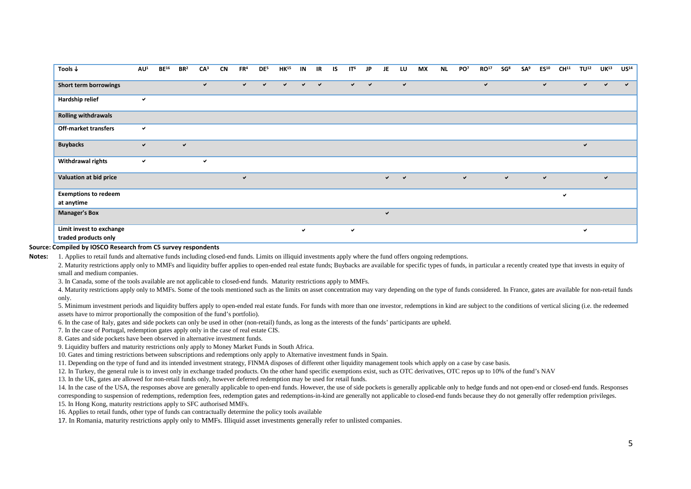| Tools $\downarrow$                               | AU <sup>1</sup> | $BE^{16}$ | BR <sup>2</sup> | CA <sup>3</sup> | <b>CN</b> | FR <sup>4</sup> | DE <sup>5</sup> | $HK^{15}$    | IN           | IR           | IS | IT <sup>6</sup> | JP           | JE                         | LU           | МX | <b>NL</b> | PO <sup>7</sup> | RO <sup>17</sup> | SG <sup>8</sup> | SA <sup>9</sup> | ES <sup>10</sup> | CH <sup>11</sup> | $TU^{12}$    | UK <sup>13</sup> | US <sup>14</sup> |
|--------------------------------------------------|-----------------|-----------|-----------------|-----------------|-----------|-----------------|-----------------|--------------|--------------|--------------|----|-----------------|--------------|----------------------------|--------------|----|-----------|-----------------|------------------|-----------------|-----------------|------------------|------------------|--------------|------------------|------------------|
| Short term borrowings                            |                 |           |                 | $\checkmark$    |           | $\checkmark$    | $\checkmark$    | $\checkmark$ | $\checkmark$ | $\checkmark$ |    | $\checkmark$    | $\checkmark$ |                            | $\checkmark$ |    |           |                 | $\checkmark$     |                 |                 | $\checkmark$     |                  | ✓            | $\checkmark$     | $\checkmark$     |
| Hardship relief                                  | ✓               |           |                 |                 |           |                 |                 |              |              |              |    |                 |              |                            |              |    |           |                 |                  |                 |                 |                  |                  |              |                  |                  |
| <b>Rolling withdrawals</b>                       |                 |           |                 |                 |           |                 |                 |              |              |              |    |                 |              |                            |              |    |           |                 |                  |                 |                 |                  |                  |              |                  |                  |
| Off-market transfers                             | ✓               |           |                 |                 |           |                 |                 |              |              |              |    |                 |              |                            |              |    |           |                 |                  |                 |                 |                  |                  |              |                  |                  |
| <b>Buybacks</b>                                  | ✓               |           | $\checkmark$    |                 |           |                 |                 |              |              |              |    |                 |              |                            |              |    |           |                 |                  |                 |                 |                  |                  | $\checkmark$ |                  |                  |
| <b>Withdrawal rights</b>                         | ✓               |           |                 | $\checkmark$    |           |                 |                 |              |              |              |    |                 |              |                            |              |    |           |                 |                  |                 |                 |                  |                  |              |                  |                  |
| Valuation at bid price                           |                 |           |                 |                 |           | $\checkmark$    |                 |              |              |              |    |                 |              | $\checkmark$ .<br><br><br> | $\checkmark$ |    |           | $\checkmark$    |                  | $\checkmark$    |                 | $\checkmark$     |                  |              | $\checkmark$     |                  |
| <b>Exemptions to redeem</b>                      |                 |           |                 |                 |           |                 |                 |              |              |              |    |                 |              |                            |              |    |           |                 |                  |                 |                 |                  | ✓                |              |                  |                  |
| at anytime                                       |                 |           |                 |                 |           |                 |                 |              |              |              |    |                 |              |                            |              |    |           |                 |                  |                 |                 |                  |                  |              |                  |                  |
| <b>Manager's Box</b>                             |                 |           |                 |                 |           |                 |                 |              |              |              |    |                 |              | $\checkmark$               |              |    |           |                 |                  |                 |                 |                  |                  |              |                  |                  |
| Limit invest to exchange<br>traded products only |                 |           |                 |                 |           |                 |                 |              | $\checkmark$ |              |    | $\checkmark$    |              |                            |              |    |           |                 |                  |                 |                 |                  |                  | $\checkmark$ |                  |                  |

#### **Source: Compiled by IOSCO Research from C5 survey respondents**

Notes: 1. Applies to retail funds and alternative funds including closed-end funds. Limits on illiquid investments apply where the fund offers ongoing redemptions.

2. Maturity restrictions apply only to MMFs and liquidity buffer applies to open-ended real estate funds; Buybacks are available for specific types of funds, in particular a recently created type that invests in equity of small and medium companies.

3. In Canada, some of the tools available are not applicable to closed-end funds. Maturity restrictions apply to MMFs.

4. Maturity restrictions apply only to MMFs. Some of the tools mentioned such as the limits on asset concentration may vary depending on the type of funds considered. In France, gates are available for non-retail funds only.

5. Minimum investment periods and liquidity buffers apply to open-ended real estate funds. For funds with more than one investor, redemptions in kind are subject to the conditions of vertical slicing (i.e. the redeemed assets have to mirror proportionally the composition of the fund's portfolio).

6. In the case of Italy, gates and side pockets can only be used in other (non-retail) funds, as long as the interests of the funds' participants are upheld.

7. In the case of Portugal, redemption gates apply only in the case of real estate CIS.

8. Gates and side pockets have been observed in alternative investment funds.

9. Liquidity buffers and maturity restrictions only apply to Money Market Funds in South Africa.

10. Gates and timing restrictions between subscriptions and redemptions only apply to Alternative investment funds in Spain.

11. Depending on the type of fund and its intended investment strategy, FINMA disposes of different other liquidity management tools which apply on a case by case basis.

12. In Turkey, the general rule is to invest only in exchange traded products. On the other hand specific exemptions exist, such as OTC derivatives, OTC repos up to 10% of the fund's NAV

13. In the UK, gates are allowed for non-retail funds only, however deferred redemption may be used for retail funds.

14. In the case of the USA, the responses above are generally applicable to open-end funds. However, the use of side pockets is generally applicable only to hedge funds and not open-end or closed-end funds. Responses

corresponding to suspension of redemptions, redemption fees, redemption gates and redemptions-in-kind are generally not applicable to closed-end funds because they do not generally offer redemption privileges.

15. In Hong Kong, maturity restrictions apply to SFC authorised MMFs.

16. Applies to retail funds, other type of funds can contractually determine the policy tools available

17. In Romania, maturity restrictions apply only to MMFs. Illiquid asset investments generally refer to unlisted companies.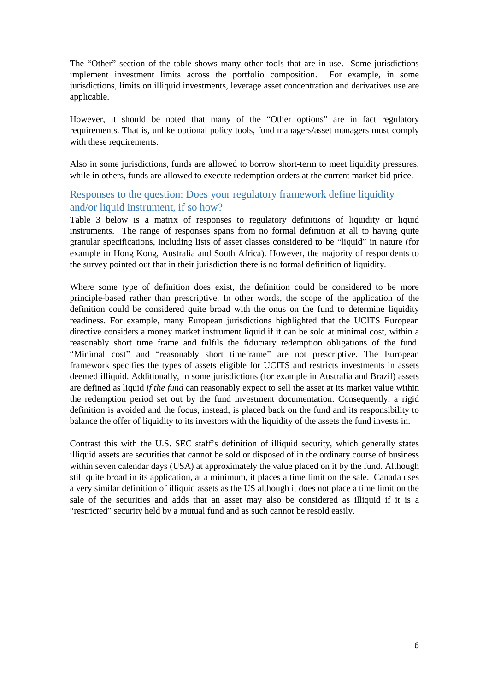The "Other" section of the table shows many other tools that are in use. Some jurisdictions implement investment limits across the portfolio composition. For example, in some jurisdictions, limits on illiquid investments, leverage asset concentration and derivatives use are applicable.

However, it should be noted that many of the "Other options" are in fact regulatory requirements. That is, unlike optional policy tools, fund managers/asset managers must comply with these requirements.

Also in some jurisdictions, funds are allowed to borrow short-term to meet liquidity pressures, while in others, funds are allowed to execute redemption orders at the current market bid price.

### <span id="page-10-0"></span>Responses to the question: Does your regulatory framework define liquidity and/or liquid instrument, if so how?

[Table 3](#page-11-0) below is a matrix of responses to regulatory definitions of liquidity or liquid instruments. The range of responses spans from no formal definition at all to having quite granular specifications, including lists of asset classes considered to be "liquid" in nature (for example in Hong Kong, Australia and South Africa). However, the majority of respondents to the survey pointed out that in their jurisdiction there is no formal definition of liquidity.

Where some type of definition does exist, the definition could be considered to be more principle-based rather than prescriptive. In other words, the scope of the application of the definition could be considered quite broad with the onus on the fund to determine liquidity readiness. For example, many European jurisdictions highlighted that the UCITS European directive considers a money market instrument liquid if it can be sold at minimal cost, within a reasonably short time frame and fulfils the fiduciary redemption obligations of the fund. "Minimal cost" and "reasonably short timeframe" are not prescriptive. The European framework specifies the types of assets eligible for UCITS and restricts investments in assets deemed illiquid. Additionally, in some jurisdictions (for example in Australia and Brazil) assets are defined as liquid *if the fund* can reasonably expect to sell the asset at its market value within the redemption period set out by the fund investment documentation. Consequently, a rigid definition is avoided and the focus, instead, is placed back on the fund and its responsibility to balance the offer of liquidity to its investors with the liquidity of the assets the fund invests in.

Contrast this with the U.S. SEC staff's definition of illiquid security, which generally states illiquid assets are securities that cannot be sold or disposed of in the ordinary course of business within seven calendar days (USA) at approximately the value placed on it by the fund. Although still quite broad in its application, at a minimum, it places a time limit on the sale. Canada uses a very similar definition of illiquid assets as the US although it does not place a time limit on the sale of the securities and adds that an asset may also be considered as illiquid if it is a "restricted" security held by a mutual fund and as such cannot be resold easily.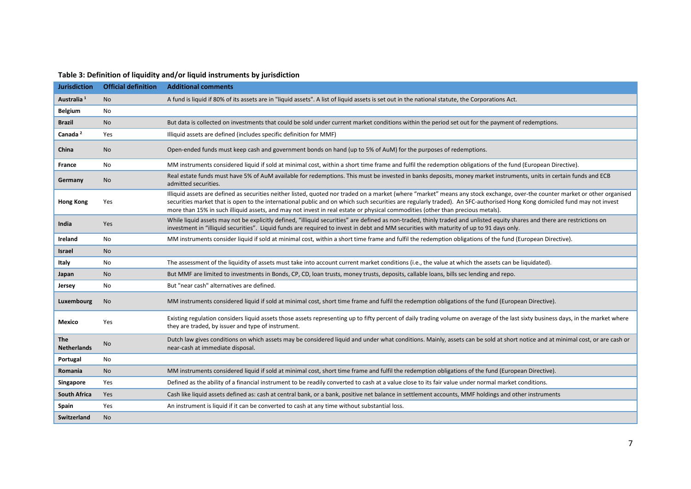<span id="page-11-0"></span>

| <b>Jurisdiction</b>              | <b>Official definition</b> | <b>Additional comments</b>                                                                                                                                                                                                                                                                                                                                                                                                                                                                 |
|----------------------------------|----------------------------|--------------------------------------------------------------------------------------------------------------------------------------------------------------------------------------------------------------------------------------------------------------------------------------------------------------------------------------------------------------------------------------------------------------------------------------------------------------------------------------------|
| Australia <sup>1</sup>           | <b>No</b>                  | A fund is liquid if 80% of its assets are in "liquid assets". A list of liquid assets is set out in the national statute, the Corporations Act.                                                                                                                                                                                                                                                                                                                                            |
| <b>Belgium</b>                   | No                         |                                                                                                                                                                                                                                                                                                                                                                                                                                                                                            |
| <b>Brazil</b>                    | <b>No</b>                  | But data is collected on investments that could be sold under current market conditions within the period set out for the payment of redemptions.                                                                                                                                                                                                                                                                                                                                          |
| Canada <sup>2</sup>              | Yes                        | Illiquid assets are defined (includes specific definition for MMF)                                                                                                                                                                                                                                                                                                                                                                                                                         |
| China                            | No.                        | Open-ended funds must keep cash and government bonds on hand (up to 5% of AuM) for the purposes of redemptions.                                                                                                                                                                                                                                                                                                                                                                            |
| France                           | <b>No</b>                  | MM instruments considered liquid if sold at minimal cost, within a short time frame and fulfil the redemption obligations of the fund (European Directive).                                                                                                                                                                                                                                                                                                                                |
| Germany                          | <b>No</b>                  | Real estate funds must have 5% of AuM available for redemptions. This must be invested in banks deposits, money market instruments, units in certain funds and ECB<br>admitted securities.                                                                                                                                                                                                                                                                                                 |
| <b>Hong Kong</b>                 | Yes                        | Illiquid assets are defined as securities neither listed, quoted nor traded on a market (where "market" means any stock exchange, over-the counter market or other organised<br>securities market that is open to the international public and on which such securities are regularly traded). An SFC-authorised Hong Kong domiciled fund may not invest<br>more than 15% in such illiquid assets, and may not invest in real estate or physical commodities (other than precious metals). |
| India                            | Yes                        | While liquid assets may not be explicitly defined, "illiquid securities" are defined as non-traded, thinly traded and unlisted equity shares and there are restrictions on<br>investment in "illiquid securities". Liquid funds are required to invest in debt and MM securities with maturity of up to 91 days only.                                                                                                                                                                      |
| Ireland                          | <b>No</b>                  | MM instruments consider liquid if sold at minimal cost, within a short time frame and fulfil the redemption obligations of the fund (European Directive).                                                                                                                                                                                                                                                                                                                                  |
| Israel                           | <b>No</b>                  |                                                                                                                                                                                                                                                                                                                                                                                                                                                                                            |
| Italy                            | <b>No</b>                  | The assessment of the liquidity of assets must take into account current market conditions (i.e., the value at which the assets can be liquidated).                                                                                                                                                                                                                                                                                                                                        |
| Japan                            | <b>No</b>                  | But MMF are limited to investments in Bonds, CP, CD, loan trusts, money trusts, deposits, callable loans, bills sec lending and repo.                                                                                                                                                                                                                                                                                                                                                      |
| Jersey                           | <b>No</b>                  | But "near cash" alternatives are defined.                                                                                                                                                                                                                                                                                                                                                                                                                                                  |
| Luxembourg                       | <b>No</b>                  | MM instruments considered liquid if sold at minimal cost, short time frame and fulfil the redemption obligations of the fund (European Directive).                                                                                                                                                                                                                                                                                                                                         |
| Mexico                           | Yes                        | Existing regulation considers liquid assets those assets representing up to fifty percent of daily trading volume on average of the last sixty business days, in the market where<br>they are traded, by issuer and type of instrument.                                                                                                                                                                                                                                                    |
| <b>The</b><br><b>Netherlands</b> | <b>No</b>                  | Dutch law gives conditions on which assets may be considered liquid and under what conditions. Mainly, assets can be sold at short notice and at minimal cost, or are cash or<br>near-cash at immediate disposal.                                                                                                                                                                                                                                                                          |
| Portugal                         | <b>No</b>                  |                                                                                                                                                                                                                                                                                                                                                                                                                                                                                            |
| Romania                          | <b>No</b>                  | MM instruments considered liquid if sold at minimal cost, short time frame and fulfil the redemption obligations of the fund (European Directive).                                                                                                                                                                                                                                                                                                                                         |
| Singapore                        | Yes                        | Defined as the ability of a financial instrument to be readily converted to cash at a value close to its fair value under normal market conditions.                                                                                                                                                                                                                                                                                                                                        |
| <b>South Africa</b>              | Yes                        | Cash like liquid assets defined as: cash at central bank, or a bank, positive net balance in settlement accounts, MMF holdings and other instruments                                                                                                                                                                                                                                                                                                                                       |
| Spain                            | Yes                        | An instrument is liquid if it can be converted to cash at any time without substantial loss.                                                                                                                                                                                                                                                                                                                                                                                               |
| Switzerland                      | <b>No</b>                  |                                                                                                                                                                                                                                                                                                                                                                                                                                                                                            |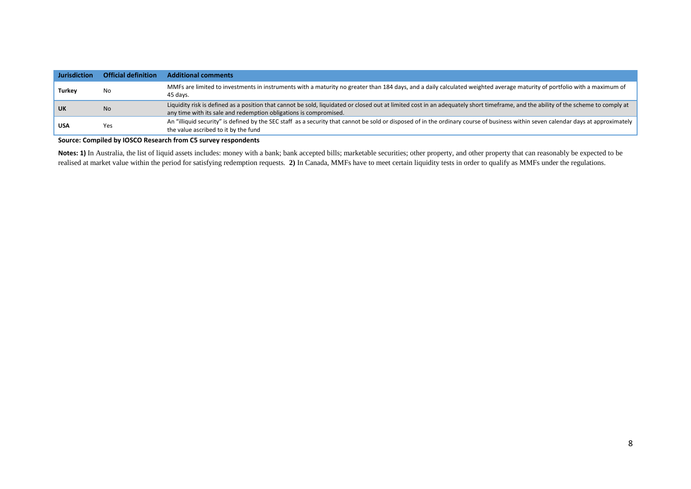| <b>Jurisdiction</b> | <b>Official definition</b> | <b>Additional comments</b>                                                                                                                                                                                                                              |
|---------------------|----------------------------|---------------------------------------------------------------------------------------------------------------------------------------------------------------------------------------------------------------------------------------------------------|
| <b>Turkey</b>       | No                         | MMFs are limited to investments in instruments with a maturity no greater than 184 days, and a daily calculated weighted average maturity of portfolio with a maximum of<br>45 days.                                                                    |
| UK                  | <b>No</b>                  | Liquidity risk is defined as a position that cannot be sold, liquidated or closed out at limited cost in an adequately short timeframe, and the ability of the scheme to comply at<br>any time with its sale and redemption obligations is compromised. |
| <b>USA</b>          | Yes                        | An "illiquid security" is defined by the SEC staff as a security that cannot be sold or disposed of in the ordinary course of business within seven calendar days at approximately  <br>the value ascribed to it by the fund                            |

#### **Source: Compiled by IOSCO Research from C5 survey respondents**

**Notes: 1)** In Australia, the list of liquid assets includes: money with a bank; bank accepted bills; marketable securities; other property, and other property that can reasonably be expected to be realised at market value within the period for satisfying redemption requests. **2)** In Canada, MMFs have to meet certain liquidity tests in order to qualify as MMFs under the regulations.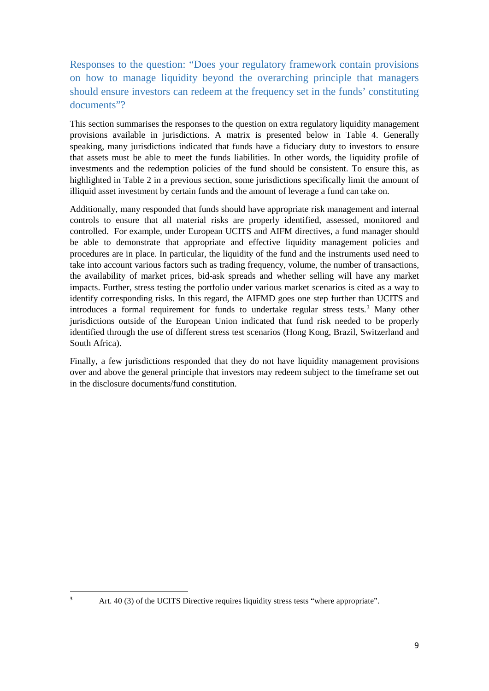<span id="page-13-0"></span>Responses to the question: "Does your regulatory framework contain provisions on how to manage liquidity beyond the overarching principle that managers should ensure investors can redeem at the frequency set in the funds' constituting documents"?

This section summarises the responses to the question on extra regulatory liquidity management provisions available in jurisdictions. A matrix is presented below in [Table 4.](#page-14-0) Generally speaking, many jurisdictions indicated that funds have a fiduciary duty to investors to ensure that assets must be able to meet the funds liabilities. In other words, the liquidity profile of investments and the redemption policies of the fund should be consistent. To ensure this, as highlighted in [Table 2](#page-8-0) in a previous section, some jurisdictions specifically limit the amount of illiquid asset investment by certain funds and the amount of leverage a fund can take on.

Additionally, many responded that funds should have appropriate risk management and internal controls to ensure that all material risks are properly identified, assessed, monitored and controlled. For example, under European UCITS and AIFM directives, a fund manager should be able to demonstrate that appropriate and effective liquidity management policies and procedures are in place. In particular, the liquidity of the fund and the instruments used need to take into account various factors such as trading frequency, volume, the number of transactions, the availability of market prices, bid-ask spreads and whether selling will have any market impacts. Further, stress testing the portfolio under various market scenarios is cited as a way to identify corresponding risks. In this regard, the AIFMD goes one step further than UCITS and introduces a formal requirement for funds to undertake regular stress tests. [3](#page-13-1) Many other jurisdictions outside of the European Union indicated that fund risk needed to be properly identified through the use of different stress test scenarios (Hong Kong, Brazil, Switzerland and South Africa).

Finally, a few jurisdictions responded that they do not have liquidity management provisions over and above the general principle that investors may redeem subject to the timeframe set out in the disclosure documents/fund constitution.

 $\frac{1}{3}$ 

<span id="page-13-1"></span><sup>&</sup>lt;sup>3</sup> Art. 40 (3) of the UCITS Directive requires liquidity stress tests "where appropriate".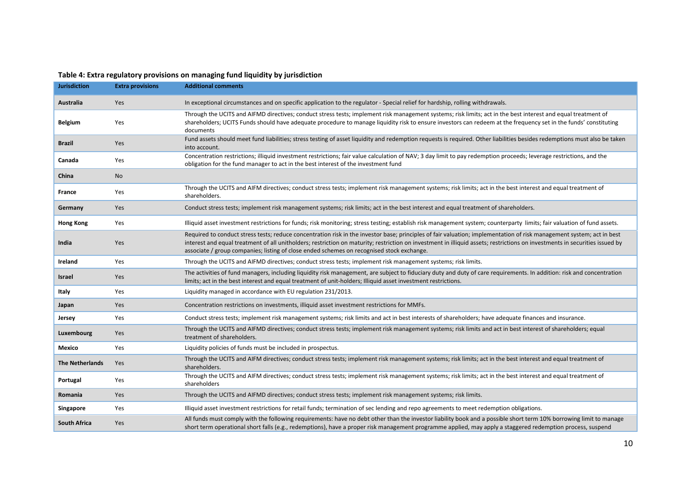<span id="page-14-0"></span>

| <b>Jurisdiction</b>    | <b>Extra provisions</b> | <b>Additional comments</b>                                                                                                                                                                                                                                                                                                                                                                                                                        |
|------------------------|-------------------------|---------------------------------------------------------------------------------------------------------------------------------------------------------------------------------------------------------------------------------------------------------------------------------------------------------------------------------------------------------------------------------------------------------------------------------------------------|
| Australia              | Yes                     | In exceptional circumstances and on specific application to the regulator - Special relief for hardship, rolling withdrawals.                                                                                                                                                                                                                                                                                                                     |
| <b>Belgium</b>         | Yes                     | Through the UCITS and AIFMD directives; conduct stress tests; implement risk management systems; risk limits; act in the best interest and equal treatment of<br>shareholders; UCITS Funds should have adequate procedure to manage liquidity risk to ensure investors can redeem at the frequency set in the funds' constituting<br>documents                                                                                                    |
| <b>Brazil</b>          | Yes                     | Fund assets should meet fund liabilities; stress testing of asset liquidity and redemption requests is required. Other liabilities besides redemptions must also be taken<br>into account.                                                                                                                                                                                                                                                        |
| Canada                 | Yes                     | Concentration restrictions; illiquid investment restrictions; fair value calculation of NAV; 3 day limit to pay redemption proceeds; leverage restrictions, and the<br>obligation for the fund manager to act in the best interest of the investment fund                                                                                                                                                                                         |
| China                  | No                      |                                                                                                                                                                                                                                                                                                                                                                                                                                                   |
| France                 | Yes                     | Through the UCITS and AIFM directives; conduct stress tests; implement risk management systems; risk limits; act in the best interest and equal treatment of<br>shareholders.                                                                                                                                                                                                                                                                     |
| Germany                | Yes                     | Conduct stress tests; implement risk management systems; risk limits; act in the best interest and equal treatment of shareholders.                                                                                                                                                                                                                                                                                                               |
| <b>Hong Kong</b>       | Yes                     | Illiquid asset investment restrictions for funds; risk monitoring; stress testing; establish risk management system; counterparty limits; fair valuation of fund assets.                                                                                                                                                                                                                                                                          |
| India                  | Yes                     | Required to conduct stress tests; reduce concentration risk in the investor base; principles of fair valuation; implementation of risk management system; act in best<br>interest and equal treatment of all unitholders; restriction on maturity; restriction on investment in illiquid assets; restrictions on investments in securities issued by<br>associate / group companies; listing of close ended schemes on recognised stock exchange. |
| Ireland                | Yes                     | Through the UCITS and AIFMD directives; conduct stress tests; implement risk management systems; risk limits.                                                                                                                                                                                                                                                                                                                                     |
| <b>Israel</b>          | Yes                     | The activities of fund managers, including liquidity risk management, are subject to fiduciary duty and duty of care requirements. In addition: risk and concentration<br>limits; act in the best interest and equal treatment of unit-holders; Illiquid asset investment restrictions.                                                                                                                                                           |
| Italy                  | Yes                     | Liquidity managed in accordance with EU regulation 231/2013.                                                                                                                                                                                                                                                                                                                                                                                      |
| Japan                  | Yes                     | Concentration restrictions on investments, illiquid asset investment restrictions for MMFs.                                                                                                                                                                                                                                                                                                                                                       |
| Jersey                 | Yes                     | Conduct stress tests; implement risk management systems; risk limits and act in best interests of shareholders; have adequate finances and insurance.                                                                                                                                                                                                                                                                                             |
| Luxembourg             | Yes                     | Through the UCITS and AIFMD directives; conduct stress tests; implement risk management systems; risk limits and act in best interest of shareholders; equal<br>treatment of shareholders.                                                                                                                                                                                                                                                        |
| Mexico                 | Yes                     | Liquidity policies of funds must be included in prospectus.                                                                                                                                                                                                                                                                                                                                                                                       |
| <b>The Netherlands</b> | Yes                     | Through the UCITS and AIFM directives; conduct stress tests; implement risk management systems; risk limits; act in the best interest and equal treatment of<br>shareholders.                                                                                                                                                                                                                                                                     |
| Portugal               | Yes                     | Through the UCITS and AIFM directives; conduct stress tests; implement risk management systems; risk limits; act in the best interest and equal treatment of<br>shareholders                                                                                                                                                                                                                                                                      |
| Romania                | Yes                     | Through the UCITS and AIFMD directives; conduct stress tests; implement risk management systems; risk limits.                                                                                                                                                                                                                                                                                                                                     |
| Singapore              | Yes                     | Illiquid asset investment restrictions for retail funds; termination of sec lending and repo agreements to meet redemption obligations.                                                                                                                                                                                                                                                                                                           |
| <b>South Africa</b>    | Yes                     | All funds must comply with the following requirements: have no debt other than the investor liability book and a possible short term 10% borrowing limit to manage<br>short term operational short falls (e.g., redemptions), have a proper risk management programme applied, may apply a staggered redemption process, suspend                                                                                                                  |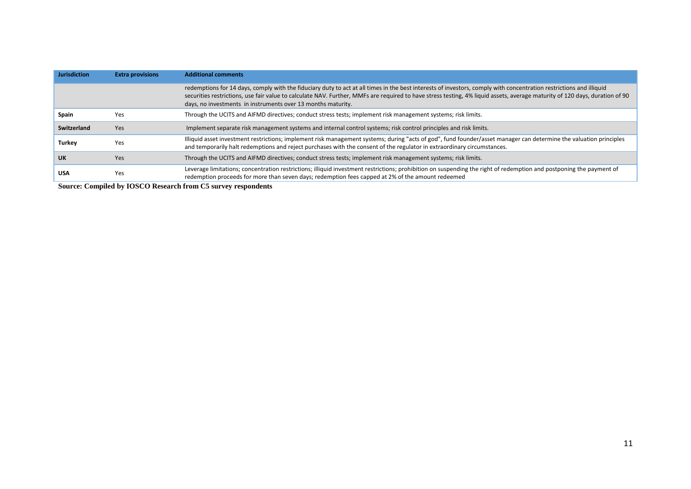| <b>Jurisdiction</b> | <b>Extra provisions</b> | <b>Additional comments</b>                                                                                                                                                                                                                                                                                                                                                                                         |
|---------------------|-------------------------|--------------------------------------------------------------------------------------------------------------------------------------------------------------------------------------------------------------------------------------------------------------------------------------------------------------------------------------------------------------------------------------------------------------------|
|                     |                         | redemptions for 14 days, comply with the fiduciary duty to act at all times in the best interests of investors, comply with concentration restrictions and illiquid<br>securities restrictions, use fair value to calculate NAV. Further, MMFs are required to have stress testing, 4% liquid assets, average maturity of 120 days, duration of 90<br>days, no investments in instruments over 13 months maturity. |
| Spain               | Yes                     | Through the UCITS and AIFMD directives; conduct stress tests; implement risk management systems; risk limits.                                                                                                                                                                                                                                                                                                      |
| Switzerland         | Yes                     | Implement separate risk management systems and internal control systems; risk control principles and risk limits.                                                                                                                                                                                                                                                                                                  |
| <b>Turkey</b>       | Yes                     | Illiquid asset investment restrictions; implement risk management systems; during "acts of god", fund founder/asset manager can determine the valuation principles<br>and temporarily halt redemptions and reject purchases with the consent of the regulator in extraordinary circumstances.                                                                                                                      |
| <b>UK</b>           | Yes                     | Through the UCITS and AIFMD directives; conduct stress tests; implement risk management systems; risk limits.                                                                                                                                                                                                                                                                                                      |
| <b>USA</b>          | Yes                     | Leverage limitations; concentration restrictions; illiquid investment restrictions; prohibition on suspending the right of redemption and postponing the payment of<br>redemption proceeds for more than seven days; redemption fees capped at 2% of the amount redeemed                                                                                                                                           |

**Source: Compiled by IOSCO Research from C5 survey respondents**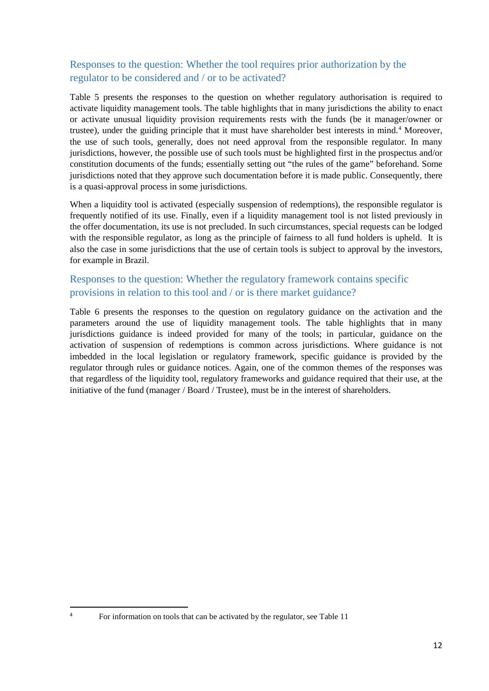### <span id="page-16-0"></span>Responses to the question: Whether the tool requires prior authorization by the regulator to be considered and / or to be activated?

[Table 5](#page-17-0) presents the responses to the question on whether regulatory authorisation is required to activate liquidity management tools. The table highlights that in many jurisdictions the ability to enact or activate unusual liquidity provision requirements rests with the funds (be it manager/owner or trustee), under the guiding principle that it must have shareholder best interests in mind. [4](#page-16-2) Moreover, the use of such tools, generally, does not need approval from the responsible regulator. In many jurisdictions, however, the possible use of such tools must be highlighted first in the prospectus and/or constitution documents of the funds; essentially setting out "the rules of the game" beforehand. Some jurisdictions noted that they approve such documentation before it is made public. Consequently, there is a quasi-approval process in some jurisdictions.

When a liquidity tool is activated (especially suspension of redemptions), the responsible regulator is frequently notified of its use. Finally, even if a liquidity management tool is not listed previously in the offer documentation, its use is not precluded. In such circumstances, special requests can be lodged with the responsible regulator, as long as the principle of fairness to all fund holders is upheld. It is also the case in some jurisdictions that the use of certain tools is subject to approval by the investors, for example in Brazil.

### <span id="page-16-1"></span>Responses to the question: Whether the regulatory framework contains specific provisions in relation to this tool and / or is there market guidance?

[Table 6](#page-19-0) presents the responses to the question on regulatory guidance on the activation and the parameters around the use of liquidity management tools. The table highlights that in many jurisdictions guidance is indeed provided for many of the tools; in particular, guidance on the activation of suspension of redemptions is common across jurisdictions. Where guidance is not imbedded in the local legislation or regulatory framework, specific guidance is provided by the regulator through rules or guidance notices. Again, one of the common themes of the responses was that regardless of the liquidity tool, regulatory frameworks and guidance required that their use, at the initiative of the fund (manager / Board / Trustee), must be in the interest of shareholders.

 $\frac{1}{4}$ 

<span id="page-16-2"></span><sup>&</sup>lt;sup>4</sup> For information on tools that can be activated by the regulator, see Table 11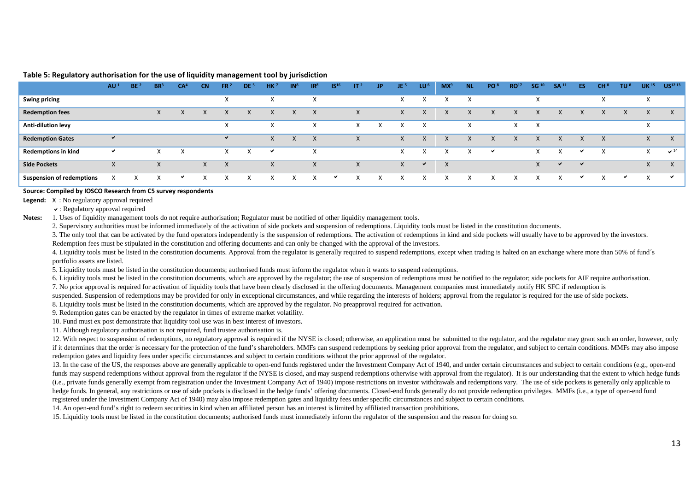|                                  | AU <sup>1</sup> | BE <sup>2</sup> | BR <sup>3</sup> | CA <sup>4</sup> | <b>CN</b> | FR <sup>2</sup> | DE <sup>5</sup> | HK <sup>7</sup> | IN <sup>8</sup> | IR <sup>8</sup> | IS <sup>16</sup> | IT <sup>2</sup> | JP. | JE <sup>5</sup> | LU <sup>6</sup> | $MX^9$   | <b>NL</b>    | PO <sup>8</sup> | RO <sup>17</sup> | SG <sup>10</sup> | SA <sup>11</sup> | ES           | CH <sup>8</sup> | TU <sup>8</sup> | UK <sup>15</sup>   | US <sup>12 13</sup>       |
|----------------------------------|-----------------|-----------------|-----------------|-----------------|-----------|-----------------|-----------------|-----------------|-----------------|-----------------|------------------|-----------------|-----|-----------------|-----------------|----------|--------------|-----------------|------------------|------------------|------------------|--------------|-----------------|-----------------|--------------------|---------------------------|
| <b>Swing pricing</b>             |                 |                 |                 |                 |           | X               |                 | х               |                 | X               |                  |                 |     | X               |                 |          | X            |                 |                  | $\lambda$        |                  |              | $\lambda$       |                 | $\mathbf{\Lambda}$ |                           |
| <b>Redemption fees</b>           |                 |                 | X               | X               |           | X               | $\times$        | X               | X               | $\times$        |                  | Y               |     | X               | X               | X        |              | X               | X                | $\lambda$        |                  | X            |                 | X               | X                  | $\times$                  |
| Anti-dilution levy               |                 |                 |                 |                 |           | X               |                 | $\lambda$       |                 | X               |                  |                 |     |                 | X               |          | $\lambda$    |                 |                  | X                |                  |              |                 |                 | $\lambda$          |                           |
| <b>Redemption Gates</b>          | $\checkmark$    |                 |                 |                 |           | ✔               |                 | X               | x               | ⋏               |                  | X               |     | X               |                 | v        | ⋏            | X               | X                | X                | X                | X            | $\times$        |                 | X                  | $\boldsymbol{\mathsf{X}}$ |
| <b>Redemptions in kind</b>       | $\checkmark$    |                 |                 | X               |           | X.              | $\mathsf{X}$    | ✔               |                 | X               |                  |                 |     | X               |                 |          | $\checkmark$ | ✔               |                  | X                | $\checkmark$     | ◡            | $\times$        |                 | X                  | $\sqrt{14}$               |
| <b>Side Pockets</b>              | Y               |                 |                 |                 | $\times$  | $\times$        |                 | $\mathsf{X}$    |                 | X               |                  | X               |     | X               | $\checkmark$    | $\times$ |              |                 |                  | X                | ✔                | $\checkmark$ |                 |                 | X                  | $\mathsf{x}$              |
| <b>Suspension of redemptions</b> | X               |                 |                 | ✔               |           | X               |                 | x               |                 |                 | ✔                |                 |     |                 |                 |          |              |                 |                  |                  |                  | ◡            |                 | ╰               | X                  | ╰                         |

#### **Table 5: Regulatory authorisation for the use of liquidity management tool by jurisdiction**

#### **Source: Compiled by IOSCO Research from C5 survey respondents**

**Legend:** X : No regulatory approval required

: Regulatory approval required

**Notes:** 1. Uses of liquidity management tools do not require authorisation: Regulator must be notified of other liquidity management tools.

2. Supervisory authorities must be informed immediately of the activation of side pockets and suspension of redemptions. Liquidity tools must be listed in the constitution documents.

3. The only tool that can be activated by the fund operators independently is the suspension of redemptions. The activation of redemptions in kind and side pockets will usually have to be approved by the investors.

Redemption fees must be stipulated in the constitution and offering documents and can only be changed with the approval of the investors.

4. Liquidity tools must be listed in the constitution documents. Approval from the regulator is generally required to suspend redemptions, except when trading is halted on an exchange where more than 50% of fund´s portfolio assets are listed.

<span id="page-17-0"></span>5. Liquidity tools must be listed in the constitution documents; authorised funds must inform the regulator when it wants to suspend redemptions.

6. Liquidity tools must be listed in the constitution documents, which are approved by the regulator; the use of suspension of redemptions must be notified to the regulator; side pockets for AIF require authorisation.

7. No prior approval is required for activation of liquidity tools that have been clearly disclosed in the offering documents. Management companies must immediately notify HK SFC if redemption is

suspended. Suspension of redemptions may be provided for only in exceptional circumstances, and while regarding the interests of holders; approval from the regulator is required for the use of side pockets.

8. Liquidity tools must be listed in the constitution documents, which are approved by the regulator. No preapproval required for activation.

9. Redemption gates can be enacted by the regulator in times of extreme market volatility.

10. Fund must ex post demonstrate that liquidity tool use was in best interest of investors.

11. Although regulatory authorisation is not required, fund trustee authorisation is.

12. With respect to suspension of redemptions, no regulatory approval is required if the NYSE is closed; otherwise, an application must be submitted to the regulator, and the regulator may grant such an order, however, onl if it determines that the order is necessary for the protection of the fund's shareholders. MMFs can suspend redemptions by seeking prior approval from the regulator, and subject to certain conditions. MMFs may also impose redemption gates and liquidity fees under specific circumstances and subject to certain conditions without the prior approval of the regulator.

13. In the case of the US, the responses above are generally applicable to open-end funds registered under the Investment Company Act of 1940, and under certain circumstances and subject to certain conditions (e.g., open-e funds may suspend redemptions without approval from the regulator if the NYSE is closed, and may suspend redemptions otherwise with approval from the regulator). It is our understanding that the extent to which hedge funds (i.e., private funds generally exempt from registration under the Investment Company Act of 1940) impose restrictions on investor withdrawals and redemptions vary. The use of side pockets is generally only applicable to hedge funds. In general, any restrictions or use of side pockets is disclosed in the hedge funds' offering documents. Closed-end funds generally do not provide redemption privileges. MMFs (i.e., a type of open-end fund registered under the Investment Company Act of 1940) may also impose redemption gates and liquidity fees under specific circumstances and subject to certain conditions.

14. An open-end fund's right to redeem securities in kind when an affiliated person has an interest is limited by affiliated transaction prohibitions.

15. Liquidity tools must be listed in the constitution documents; authorised funds must immediately inform the regulator of the suspension and the reason for doing so.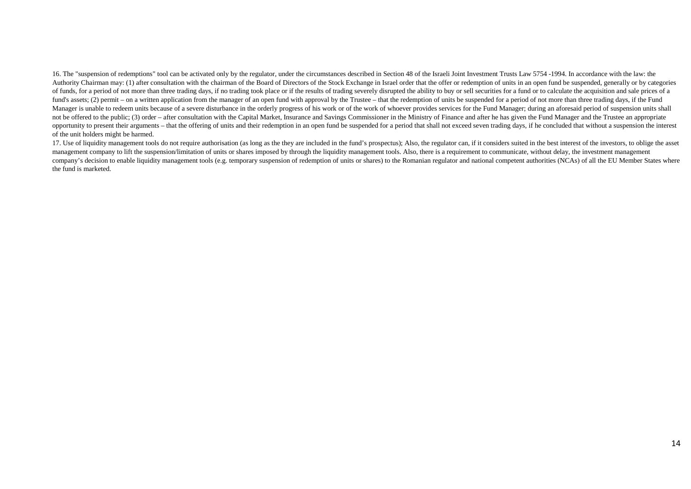16. The "suspension of redemptions" tool can be activated only by the regulator, under the circumstances described in Section 48 of the Israeli Joint Investment Trusts Law 5754 -1994. In accordance with the law: the Authority Chairman may: (1) after consultation with the chairman of the Board of Directors of the Stock Exchange in Israel order that the offer or redemption of units in an open fund be suspended, generally or by categorie of funds, for a period of not more than three trading days, if no trading took place or if the results of trading severely disrupted the ability to buy or sell securities for a fund or to calculate the acquisition and sale fund's assets; (2) permit – on a written application from the manager of an open fund with approval by the Trustee – that the redemption of units be suspended for a period of not more than three trading days, if the Fund Manager is unable to redeem units because of a severe disturbance in the orderly progress of his work or of the work of whoever provides services for the Fund Manager; during an aforesaid period of suspension units shall not be offered to the public; (3) order – after consultation with the Capital Market, Insurance and Savings Commissioner in the Ministry of Finance and after he has given the Fund Manager and the Trustee an appropriate opportunity to present their arguments – that the offering of units and their redemption in an open fund be suspended for a period that shall not exceed seven trading days, if he concluded that without a suspension the int of the unit holders might be harmed.

17. Use of liquidity management tools do not require authorisation (as long as the they are included in the fund's prospectus); Also, the regulator can, if it considers suited in the best interest of the investors, to obli management company to lift the suspension/limitation of units or shares imposed by through the liquidity management tools. Also, there is a requirement to communicate, without delay, the investment management company's decision to enable liquidity management tools (e.g. temporary suspension of redemption of units or shares) to the Romanian regulator and national competent authorities (NCAs) of all the EU Member States where the fund is marketed.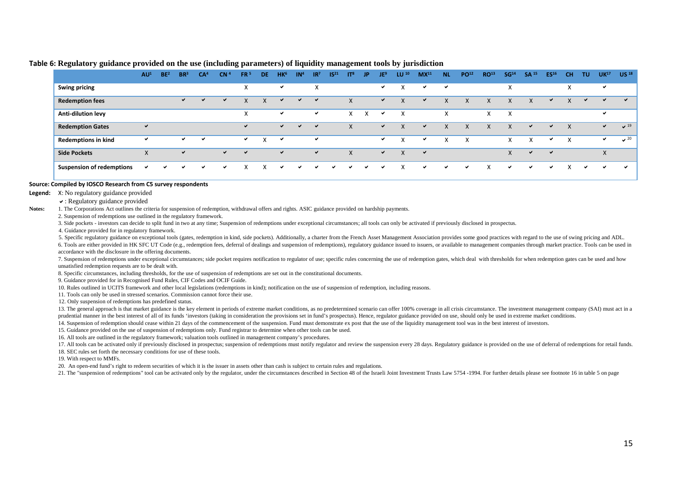|                                  | AU <sup>1</sup> | BE <sup>2</sup> | BR <sup>3</sup> | CA <sup>4</sup> | CN <sup>4</sup> | FR <sup>5</sup>        | <b>DE</b> | H <sub>Ke</sub> | IN <sup>4</sup> | IR <sup>7</sup>   | IS <sup>21</sup> | IT <sup>8</sup> | JP.          | JE <sup>9</sup> | LU <sup>10</sup>         | MX <sup>11</sup> | <b>NL</b>    | PO <sup>12</sup> | <b>RO13</b> | SG <sup>14</sup> | <b>SA 15</b> | ES <sup>16</sup> | CН                        | TU.          | UK <sup>17</sup> | <b>US 18</b>           |
|----------------------------------|-----------------|-----------------|-----------------|-----------------|-----------------|------------------------|-----------|-----------------|-----------------|-------------------|------------------|-----------------|--------------|-----------------|--------------------------|------------------|--------------|------------------|-------------|------------------|--------------|------------------|---------------------------|--------------|------------------|------------------------|
| <b>Swing pricing</b>             |                 |                 |                 |                 |                 | $\checkmark$<br>$\sim$ |           | ✓               |                 | $\checkmark$<br>v |                  |                 |              | ✔               | X                        | $\checkmark$     | $\checkmark$ |                  |             | X                |              |                  | $\mathbf v$<br>$\sim$     |              | ✓                |                        |
| <b>Redemption fees</b>           |                 |                 | $\checkmark$    | $\checkmark$    | ✔               | X                      | X         | ✔               | $\checkmark$    | ✔                 |                  | X               |              | $\checkmark$    | $\checkmark$<br>⋏        | $\checkmark$     | X            | X                | х           | X                | X            | ✔                | $\mathbf{v}$<br>$\Lambda$ | $\checkmark$ | $\checkmark$     | $\checkmark$           |
| Anti-dilution levy               |                 |                 |                 |                 |                 | $\checkmark$<br>∧      |           | ✓               |                 | ✓                 |                  | X               | X            | ✓               | X                        |                  | X            |                  | X           | X                |              |                  |                           |              | ✓                |                        |
| <b>Redemption Gates</b>          | $\checkmark$    |                 |                 |                 |                 | ✓                      |           | $\checkmark$    | $\checkmark$    | ✔                 |                  | $\mathsf{X}$    |              | ✔               | $\mathbf v$<br>$\lambda$ | $\checkmark$     | $\Lambda$    |                  |             | X                | ✔            | $\checkmark$     | X                         |              | $\checkmark$     | $\times$ <sup>19</sup> |
| <b>Redemptions in kind</b>       | $\checkmark$    |                 | ✓               | $\checkmark$    |                 | $\checkmark$           | X         | ╰               |                 | ✓                 |                  |                 |              | ✓               | $\checkmark$             | ✓                | $\times$     | X                |             | X                | X            | ✓                | X                         |              | $\checkmark$     | $\sim$ 20              |
| <b>Side Pockets</b>              | X               |                 | $\checkmark$    |                 | $\checkmark$    | ✔                      |           | $\checkmark$    |                 | ✔                 |                  | X               |              | ✔               | X                        | ✔                |              |                  |             | X                | ✔            | ✔                |                           |              | X                |                        |
| <b>Suspension of redemptions</b> | $\checkmark$    | ◡               | ✔               | ✓               | ✔               |                        | x         | ✔               | ✔               | ✔                 | ✓                | ◡               | $\checkmark$ | ✔               | X                        | $\checkmark$     | $\checkmark$ | $\checkmark$     |             | ◡                | $\checkmark$ | ◡                | X                         | $\checkmark$ | ✓                | ◡                      |

#### **Table 6: Regulatory guidance provided on the use (including parameters) of liquidity management tools by jurisdiction**

#### **Source: Compiled by IOSCO Research from C5 survey respondents**

**Legend:** X: No regulatory guidance provided

: Regulatory guidance provided

Notes: 1. The Corporations Act outlines the criteria for suspension of redemption, withdrawal offers and rights. ASIC guidance provided on hardship payments.

2. Suspension of redemptions use outlined in the regulatory framework.

3. Side pockets - investors can decide to split fund in two at any time; Suspension of redemptions under exceptional circumstances; all tools can only be activated if previously disclosed in prospectus.

4. Guidance provided for in regulatory framework.

5. Specific regulatory guidance on exceptional tools (gates, redemption in kind, side pockets). Additionally, a charter from the French Asset Management Association provides some good practices with regard to the use of sw 6. Tools are either provided in HK SFC UT Code (e.g., redemption fees, deferral of dealings and suspension of redemptions), regulatory guidance issued to issuers, or available to management companies through market practic accordance with the disclosure in the offering documents.

<span id="page-19-0"></span>7. Suspension of redemptions under exceptional circumstances: side pocket requires notification to regulator of use: specific rules concerning the use of redemption gates, which deal, with thresholds for when redemption ga unsatisfied redemption requests are to be dealt with.

8. Specific circumstances, including thresholds, for the use of suspension of redemptions are set out in the constitutional documents.

9. Guidance provided for in Recognised Fund Rules, CIF Codes and OCIF Guide.

10. Rules outlined in UCITS framework and other local legislations (redemptions in kind); notification on the use of suspension of redemption, including reasons.

11. Tools can only be used in stressed scenarios. Commission cannot force their use.

12. Only suspension of redemptions has predefined status.

13. The general approach is that market guidance is the key element in periods of extreme market conditions, as no predetermined scenario can offer 100% coverage in all crisis circumstance. The investment management compan prudential manner in the best interest of all of its funds 'investors (taking in consideration the provisions set in fund's prospectus). Hence, regulator guidance provided on use, should only be used in extreme market cond

14. Suspension of redemption should cease within 21 days of the commencement of the suspension. Fund must demonstrate ex post that the use of the liquidity management tool was in the best interest of investors.

15. Guidance provided on the use of suspension of redemptions only. Fund registrar to determine when other tools can be used.

16. All tools are outlined in the regulatory framework; valuation tools outlined in management company's procedures.

17. All tools can be activated only if previously disclosed in prospectus; suspension of redemptions must notify regulator and review the suspension every 28 days. Regulatory guidance is provided on the use of deferral of

18. SEC rules set forth the necessary conditions for use of these tools.

19. With respect to MMFs.

20. An open-end fund's right to redeem securities of which it is the issuer in assets other than cash is subject to certain rules and regulations.

21. The "suspension of redemptions" tool can be activated only by the regulator, under the circumstances described in Section 48 of the Israeli Joint Investment Trusts Law 5754-1994. For further details please see footnote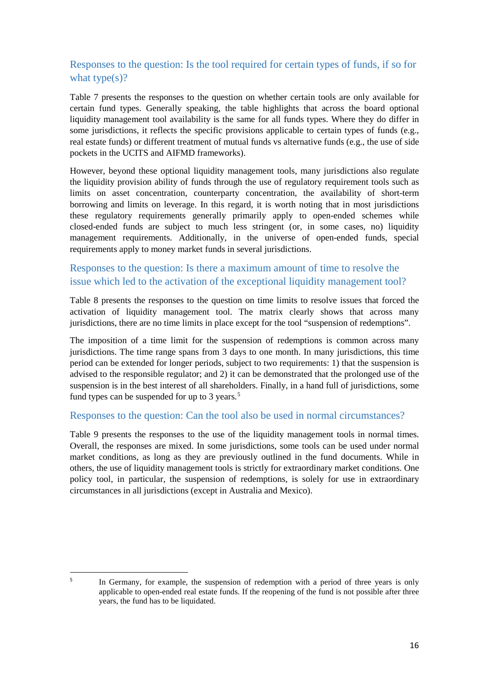### <span id="page-20-0"></span>Responses to the question: Is the tool required for certain types of funds, if so for what type $(s)$ ?

[Table 7](#page-21-0) presents the responses to the question on whether certain tools are only available for certain fund types. Generally speaking, the table highlights that across the board optional liquidity management tool availability is the same for all funds types. Where they do differ in some jurisdictions, it reflects the specific provisions applicable to certain types of funds (e.g., real estate funds) or different treatment of mutual funds vs alternative funds (e.g., the use of side pockets in the UCITS and AIFMD frameworks).

However, beyond these optional liquidity management tools, many jurisdictions also regulate the liquidity provision ability of funds through the use of regulatory requirement tools such as limits on asset concentration, counterparty concentration, the availability of short-term borrowing and limits on leverage. In this regard, it is worth noting that in most jurisdictions these regulatory requirements generally primarily apply to open-ended schemes while closed-ended funds are subject to much less stringent (or, in some cases, no) liquidity management requirements. Additionally, in the universe of open-ended funds, special requirements apply to money market funds in several jurisdictions.

### <span id="page-20-1"></span>Responses to the question: Is there a maximum amount of time to resolve the issue which led to the activation of the exceptional liquidity management tool?

[Table 8](#page-22-0) presents the responses to the question on time limits to resolve issues that forced the activation of liquidity management tool. The matrix clearly shows that across many jurisdictions, there are no time limits in place except for the tool "suspension of redemptions".

The imposition of a time limit for the suspension of redemptions is common across many jurisdictions. The time range spans from 3 days to one month. In many jurisdictions, this time period can be extended for longer periods, subject to two requirements: 1) that the suspension is advised to the responsible regulator; and 2) it can be demonstrated that the prolonged use of the suspension is in the best interest of all shareholders. Finally, in a hand full of jurisdictions, some fund types can be suspended for up to 3 years.<sup>[5](#page-20-3)</sup>

### <span id="page-20-2"></span>Responses to the question: Can the tool also be used in normal circumstances?

[Table 9](#page-23-0) presents the responses to the use of the liquidity management tools in normal times. Overall, the responses are mixed. In some jurisdictions, some tools can be used under normal market conditions, as long as they are previously outlined in the fund documents. While in others, the use of liquidity management tools is strictly for extraordinary market conditions. One policy tool, in particular, the suspension of redemptions, is solely for use in extraordinary circumstances in all jurisdictions (except in Australia and Mexico).

<span id="page-20-3"></span><sup>-&</sup>lt;br>5 <sup>5</sup> In Germany, for example, the suspension of redemption with a period of three years is only applicable to open-ended real estate funds. If the reopening of the fund is not possible after three years, the fund has to be liquidated.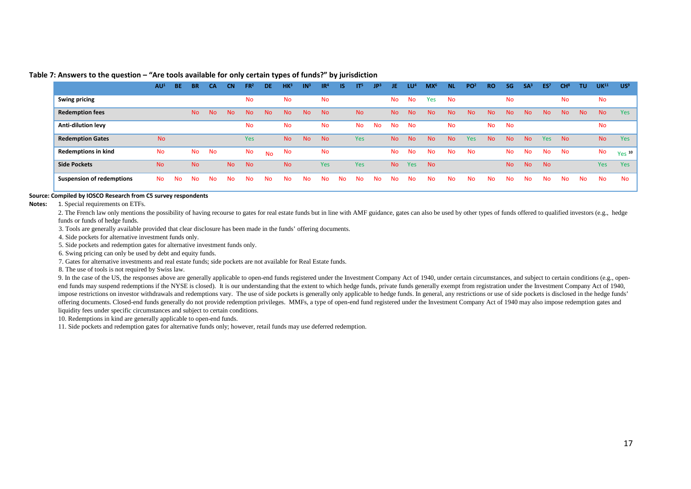|                                  | AU <sup>1</sup> | <b>BE</b> | <b>BR</b> | <b>CA</b>      | <b>CN</b>      | FR <sup>2</sup> | DE.       | HK <sup>3</sup> | IN <sup>3</sup> | IR <sup>4</sup> | IS.       | IT <sup>5</sup> | JP <sup>3</sup> | JE.            | LU <sup>4</sup> | MX <sup>6</sup> | <b>NL</b> | PO <sup>2</sup> | <b>RO</b> | <b>SG</b> | SA <sup>3</sup> | ES <sup>7</sup> | CH <sup>8</sup> | <b>TU</b> | UK <sup>11</sup> | US <sup>®</sup>   |
|----------------------------------|-----------------|-----------|-----------|----------------|----------------|-----------------|-----------|-----------------|-----------------|-----------------|-----------|-----------------|-----------------|----------------|-----------------|-----------------|-----------|-----------------|-----------|-----------|-----------------|-----------------|-----------------|-----------|------------------|-------------------|
| <b>Swing pricing</b>             |                 |           |           |                |                | <b>No</b>       |           | <b>No</b>       |                 | <b>No</b>       |           |                 |                 | <b>No</b>      | <b>No</b>       | Yes             | <b>No</b> |                 |           | <b>No</b> |                 |                 | <b>No</b>       |           | <b>No</b>        |                   |
| <b>Redemption fees</b>           |                 |           | <b>No</b> | N <sub>o</sub> | N <sub>o</sub> | <b>No</b>       | <b>No</b> | <b>No</b>       | N <sub>o</sub>  | <b>No</b>       |           | <b>No</b>       |                 | No.            | <b>No</b>       | <b>No</b>       | <b>No</b> | <b>No</b>       | <b>No</b> | <b>No</b> | N <sub>o</sub>  | N <sub>o</sub>  | <b>No</b>       | <b>No</b> | <b>No</b>        | Yes               |
| Anti-dilution levy               |                 |           |           |                |                | <b>No</b>       |           | <b>No</b>       |                 | <b>No</b>       |           | <b>No</b>       | <b>No</b>       | <b>No</b>      | <b>No</b>       |                 | <b>No</b> |                 | No.       | <b>No</b> |                 |                 |                 |           | <b>No</b>        |                   |
| <b>Redemption Gates</b>          | <b>No</b>       |           |           |                |                | Yes             |           | <b>No</b>       | <b>No</b>       | <b>No</b>       |           | Yes             |                 | N <sub>o</sub> | <b>No</b>       | <b>No</b>       | <b>No</b> | <b>Yes</b>      | <b>No</b> | <b>No</b> | No.             | <b>Yes</b>      | <b>No</b>       |           | <b>No</b>        | Yes               |
| <b>Redemptions in kind</b>       | No              |           | No        | No             |                | No              | <b>No</b> | No              |                 | No              |           |                 |                 | <b>No</b>      | <b>No</b>       | <b>No</b>       | <b>No</b> | <b>No</b>       |           | <b>No</b> | <b>No</b>       | No              | <b>No</b>       |           | No               | Yes <sup>10</sup> |
| <b>Side Pockets</b>              | N <sub>o</sub>  |           | <b>No</b> |                | <b>No</b>      | <b>No</b>       |           | <b>No</b>       |                 | <b>Yes</b>      |           | <b>Yes</b>      |                 | No.            | Yes             | <b>No</b>       |           |                 |           | <b>No</b> | <b>No</b>       | <b>No</b>       |                 |           | <b>Yes</b>       | <b>Yes</b>        |
| <b>Suspension of redemptions</b> | No.             | <b>No</b> | <b>No</b> | <b>No</b>      | No.            | <b>No</b>       | <b>No</b> | <b>No</b>       | <b>No</b>       | <b>No</b>       | <b>No</b> | <b>No</b>       | <b>No</b>       | No.            | <b>No</b>       | No              | <b>No</b> | <b>No</b>       | <b>No</b> | <b>No</b> | <b>No</b>       | <b>No</b>       | <b>No</b>       | No.       | <b>No</b>        | <b>No</b>         |

#### **Table 7: Answers to the question – "Are tools available for only certain types of funds?" by jurisdiction**

#### **Source: Compiled by IOSCO Research from C5 survey respondents**

**Notes:** 1. Special requirements on ETFs.

2. The French law only mentions the possibility of having recourse to gates for real estate funds but in line with AMF guidance, gates can also be used by other types of funds offered to qualified investors (e.g., hedge funds or funds of hedge funds.

3. Tools are generally available provided that clear disclosure has been made in the funds' offering documents.

4. Side pockets for alternative investment funds only.

5. Side pockets and redemption gates for alternative investment funds only.

6. Swing pricing can only be used by debt and equity funds.

7. Gates for alternative investments and real estate funds; side pockets are not available for Real Estate funds.

8. The use of tools is not required by Swiss law.

<span id="page-21-0"></span>9. In the case of the US, the responses above are generally applicable to open-end funds registered under the Investment Company Act of 1940, under certain circumstances, and subject to certain conditions (e.g., openend funds may suspend redemptions if the NYSE is closed). It is our understanding that the extent to which hedge funds, private funds generally exempt from registration under the Investment Company Act of 1940, impose restrictions on investor withdrawals and redemptions vary. The use of side pockets is generally only applicable to hedge funds. In general, any restrictions or use of side pockets is disclosed in the hedge funds' offering documents. Closed-end funds generally do not provide redemption privileges. MMFs, a type of open-end fund registered under the Investment Company Act of 1940 may also impose redemption gates and liquidity fees under specific circumstances and subject to certain conditions.

10. Redemptions in kind are generally applicable to open-end funds.

11. Side pockets and redemption gates for alternative funds only; however, retail funds may use deferred redemption.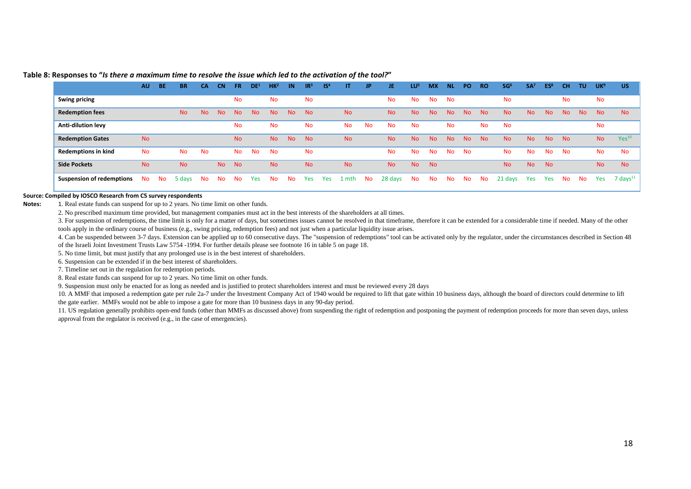|                                  | <b>AU</b> | <b>BE</b> | <b>BR</b> | CA        | <b>CN</b> | <b>FR</b> | DE <sup>1</sup> | HK <sup>2</sup> | IN             | IR <sup>3</sup> | IS <sup>4</sup> | IT.       | <b>JP</b> | JE.       | LU <sup>5</sup> | <b>MX</b> | <b>NL</b> | PO        | <b>RO</b> | SG <sup>6</sup> | SA <sup>7</sup> | ES <sup>8</sup> | <b>CH</b> | TU        | UK <sup>9</sup> | <b>US</b>         |
|----------------------------------|-----------|-----------|-----------|-----------|-----------|-----------|-----------------|-----------------|----------------|-----------------|-----------------|-----------|-----------|-----------|-----------------|-----------|-----------|-----------|-----------|-----------------|-----------------|-----------------|-----------|-----------|-----------------|-------------------|
| <b>Swing pricing</b>             |           |           |           |           |           | <b>No</b> |                 | <b>No</b>       |                | No              |                 |           |           | No.       | No              | No        | No        |           |           | No              |                 |                 | No.       |           | No              |                   |
| <b>Redemption fees</b>           |           |           | <b>No</b> | No.       | <b>No</b> | <b>No</b> | <b>No</b>       | <b>No</b>       | N <sub>o</sub> | <b>No</b>       |                 | <b>No</b> |           | <b>No</b> | <b>No</b>       | <b>No</b> | <b>No</b> | <b>No</b> | <b>No</b> | <b>No</b>       | <b>No</b>       | <b>No</b>       | <b>No</b> | <b>No</b> | <b>No</b>       | N <sub>o</sub>    |
| Anti-dilution levy               |           |           |           |           |           | No        |                 | <b>No</b>       |                | No              |                 | <b>No</b> | <b>No</b> | <b>No</b> | <b>No</b>       |           | <b>No</b> |           | <b>No</b> | No              |                 |                 |           |           | No              |                   |
| <b>Redemption Gates</b>          | <b>No</b> |           |           |           |           | <b>No</b> |                 | <b>No</b>       | <b>No</b>      | <b>No</b>       |                 | <b>No</b> |           | <b>No</b> | <b>No</b>       | No.       | <b>No</b> | No        | <b>No</b> | <b>No</b>       | No.             | <b>No</b>       | <b>No</b> |           | <b>No</b>       | Yes <sup>10</sup> |
| <b>Redemptions in kind</b>       | No        |           | <b>No</b> | <b>No</b> |           | No.       | <b>No</b>       | <b>No</b>       |                | <b>No</b>       |                 |           |           | <b>No</b> | <b>No</b>       | <b>No</b> | <b>No</b> | <b>No</b> |           | No.             | <b>No</b>       | <b>No</b>       | <b>No</b> |           | <b>No</b>       | <b>No</b>         |
| <b>Side Pockets</b>              | <b>No</b> |           | <b>No</b> |           | <b>No</b> | No.       |                 | <b>No</b>       |                | <b>No</b>       |                 | <b>No</b> |           | <b>No</b> | <b>No</b>       | <b>No</b> |           |           |           | <b>No</b>       | <b>No</b>       | <b>No</b>       |           |           | <b>No</b>       | <b>No</b>         |
| <b>Suspension of redemptions</b> | <b>No</b> | <b>No</b> | 5 days    | <b>No</b> | No        | Νo        | Yes             | <b>No</b>       | <b>No</b>      | Yes             | Yes             | l mth     | No        | 28 days   | No              | <b>No</b> | <b>No</b> | <b>No</b> | No        | 21 days         | Yes             | Yes             | <b>No</b> | No        | Yes             | 7 days $^{11}$    |

#### **Table 8: Responses to "***Is there a maximum time to resolve the issue which led to the activation of the tool?***"**

#### **Source: Compiled by IOSCO Research from C5 survey respondents**

**Notes:** 1. Real estate funds can suspend for up to 2 years. No time limit on other funds.

2. No prescribed maximum time provided, but management companies must act in the best interests of the shareholders at all times.

3. For suspension of redemptions, the time limit is only for a matter of days, but sometimes issues cannot be resolved in that timeframe, therefore it can be extended for a considerable time if needed. Many of the other tools apply in the ordinary course of business (e.g., swing pricing, redemption fees) and not just when a particular liquidity issue arises.

4. Can be suspended between 3-7 days. Extension can be applied up to 60 consecutive days. The "suspension of redemptions" tool can be activated only by the regulator, under the circumstances described in Section 48 of the Israeli Joint Investment Trusts Law 5754 -1994. For further details please see footnote 16 in table 5 on page 18.

5. No time limit, but must justify that any prolonged use is in the best interest of shareholders.

6. Suspension can be extended if in the best interest of shareholders.

7. Timeline set out in the regulation for redemption periods.

<span id="page-22-0"></span>8. Real estate funds can suspend for up to 2 years. No time limit on other funds.

9. Suspension must only be enacted for as long as needed and is justified to protect shareholders interest and must be reviewed every 28 days

10. A MMF that imposed a redemption gate per rule 2a-7 under the Investment Company Act of 1940 would be required to lift that gate within 10 business days, although the board of directors could determine to lift the gate earlier. MMFs would not be able to impose a gate for more than 10 business days in any 90-day period.

11. US regulation generally prohibits open-end funds (other than MMFs as discussed above) from suspending the right of redemption and postponing the payment of redemption proceeds for more than seven days, unless approval from the regulator is received (e.g., in the case of emergencies).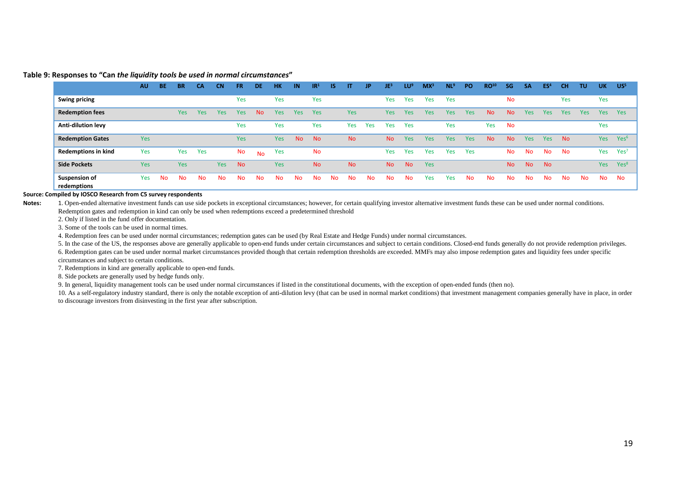#### **Table 9: Responses to "Can** *the liquidity tools be used in normal circumstances***"**

|                                     | <b>AU</b> | <b>BE</b> | <b>BR</b>  | <b>CA</b> | <b>CN</b>  | FR.       | <b>DE</b> | <b>HK</b>  | IN         | IR <sup>1</sup> | <b>IS</b> | П          | JP  | JE3        | <b>LU</b> <sup>9</sup> | $MX^3$ | NL <sup>s</sup> | PO         | RO <sup>10</sup> | SG        | <b>SA</b> | ES <sup>4</sup> | CН         | <b>TU</b> | <b>UK</b>  | US <sup>5</sup>  |
|-------------------------------------|-----------|-----------|------------|-----------|------------|-----------|-----------|------------|------------|-----------------|-----------|------------|-----|------------|------------------------|--------|-----------------|------------|------------------|-----------|-----------|-----------------|------------|-----------|------------|------------------|
| <b>Swing pricing</b>                |           |           |            |           |            | Yes       |           | Yes        |            | Yes             |           |            |     | <b>Yes</b> | Yes                    | Yes    | Yes             |            |                  | <b>No</b> |           |                 | Yes        |           | Yes        |                  |
| <b>Redemption fees</b>              |           |           | <b>Yes</b> | Yes       | <b>Yes</b> | Yes       | <b>No</b> | <b>Yes</b> | <b>Yes</b> | Yes             |           | <b>Yes</b> |     | <b>Yes</b> | <b>Yes</b>             | Yes    | Yes             | <b>Yes</b> | <b>No</b>        | No        | Yes       | <b>Yes</b>      | <b>Yes</b> | Yes       | <b>Yes</b> | <b>Yes</b>       |
| <b>Anti-dilution levy</b>           |           |           |            |           |            | Yes       |           | Yes        |            | Yes             |           | Yes        | Yes | Yes        | Yes                    |        | Yes             |            | Yes              | <b>No</b> |           |                 |            |           | Yes        |                  |
| <b>Redemption Gates</b>             | Yes       |           |            |           |            | Yes       |           | Yes        | <b>No</b>  | <b>No</b>       |           | <b>No</b>  |     | <b>No</b>  | <b>Yes</b>             | Yes    | Yes             | Yes        | <b>No</b>        | No        | Yes       | Yes             | <b>No</b>  |           | <b>Yes</b> | Yes <sup>6</sup> |
| <b>Redemptions in kind</b>          | Yes       |           | Yes        | Yes       |            | No        | <b>No</b> | Yes        |            | No              |           |            |     | Yes        | Yes                    | Yes    | Yes             | Yes        |                  | <b>No</b> | <b>No</b> | <b>No</b>       | No         |           | Yes        | Yes <sup>7</sup> |
| <b>Side Pockets</b>                 | Yes       |           | Yes        |           | <b>Yes</b> | <b>No</b> |           | Yes        |            | <b>No</b>       |           | <b>No</b>  |     | <b>No</b>  | N <sub>o</sub>         | Yes    |                 |            |                  | <b>No</b> | <b>No</b> | <b>No</b>       |            |           | <b>Yes</b> | Yes <sup>8</sup> |
| <b>Suspension of</b><br>redemptions | Yes       | <b>No</b> | No.        | <b>No</b> | No.        | No        | No        | <b>No</b>  | <b>No</b>  | No              | <b>No</b> | <b>No</b>  | Νo  | <b>No</b>  | <b>No</b>              | Yes    | Yes             | <b>No</b>  | <b>No</b>        | No        | <b>No</b> | No              | No         | <b>No</b> | No         | No               |

#### **Source: Compiled by IOSCO Research from C5 survey respondents**

Notes: 1. Open-ended alternative investment funds can use side pockets in exceptional circumstances; however, for certain qualifying investor alternative investment funds these can be used under normal conditions. Redemption gates and redemption in kind can only be used when redemptions exceed a predetermined threshold

2. Only if listed in the fund offer documentation.

3. Some of the tools can be used in normal times.

4. Redemption fees can be used under normal circumstances; redemption gates can be used (by Real Estate and Hedge Funds) under normal circumstances.

5. In the case of the US, the responses above are generally applicable to open-end funds under certain circumstances and subject to certain conditions. Closed-end funds generally do not provide redemption privileges. 6. Redemption gates can be used under normal market circumstances provided though that certain redemption thresholds are exceeded. MMFs may also impose redemption gates and liquidity fees under specific circumstances and subject to certain conditions.

7. Redemptions in kind are generally applicable to open-end funds.

<span id="page-23-0"></span>8. Side pockets are generally used by hedge funds only.

9. In general, liquidity management tools can be used under normal circumstances if listed in the constitutional documents, with the exception of open-ended funds (then no).

10. As a self-regulatory industry standard, there is only the notable exception of anti-dilution levy (that can be used in normal market conditions) that investment management companies generally have in place, in order to discourage investors from disinvesting in the first year after subscription.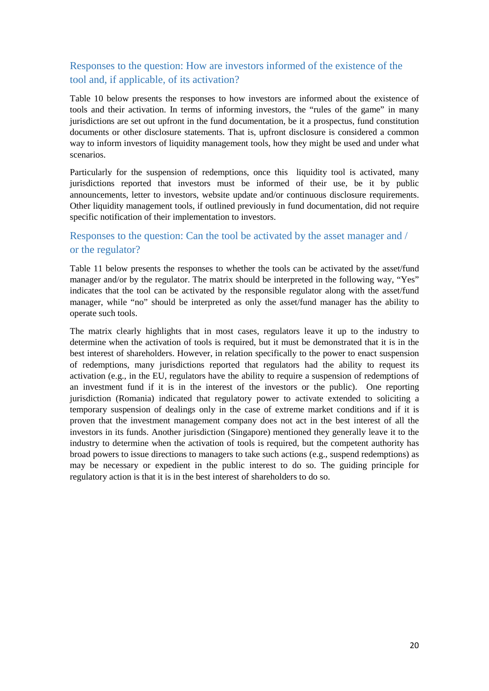### <span id="page-24-0"></span>Responses to the question: How are investors informed of the existence of the tool and, if applicable, of its activation?

[Table 10](#page-25-0) below presents the responses to how investors are informed about the existence of tools and their activation. In terms of informing investors, the "rules of the game" in many jurisdictions are set out upfront in the fund documentation, be it a prospectus, fund constitution documents or other disclosure statements. That is, upfront disclosure is considered a common way to inform investors of liquidity management tools, how they might be used and under what scenarios.

Particularly for the suspension of redemptions, once this liquidity tool is activated, many jurisdictions reported that investors must be informed of their use, be it by public announcements, letter to investors, website update and/or continuous disclosure requirements. Other liquidity management tools, if outlined previously in fund documentation, did not require specific notification of their implementation to investors.

### <span id="page-24-1"></span>Responses to the question: Can the tool be activated by the asset manager and / or the regulator?

[Table 11](#page-26-0) below presents the responses to whether the tools can be activated by the asset/fund manager and/or by the regulator. The matrix should be interpreted in the following way, "Yes" indicates that the tool can be activated by the responsible regulator along with the asset/fund manager, while "no" should be interpreted as only the asset/fund manager has the ability to operate such tools.

The matrix clearly highlights that in most cases, regulators leave it up to the industry to determine when the activation of tools is required, but it must be demonstrated that it is in the best interest of shareholders. However, in relation specifically to the power to enact suspension of redemptions, many jurisdictions reported that regulators had the ability to request its activation (e.g., in the EU, regulators have the ability to require a suspension of redemptions of an investment fund if it is in the interest of the investors or the public). One reporting jurisdiction (Romania) indicated that regulatory power to activate extended to soliciting a temporary suspension of dealings only in the case of extreme market conditions and if it is proven that the investment management company does not act in the best interest of all the investors in its funds. Another jurisdiction (Singapore) mentioned they generally leave it to the industry to determine when the activation of tools is required, but the competent authority has broad powers to issue directions to managers to take such actions (e.g., suspend redemptions) as may be necessary or expedient in the public interest to do so. The guiding principle for regulatory action is that it is in the best interest of shareholders to do so.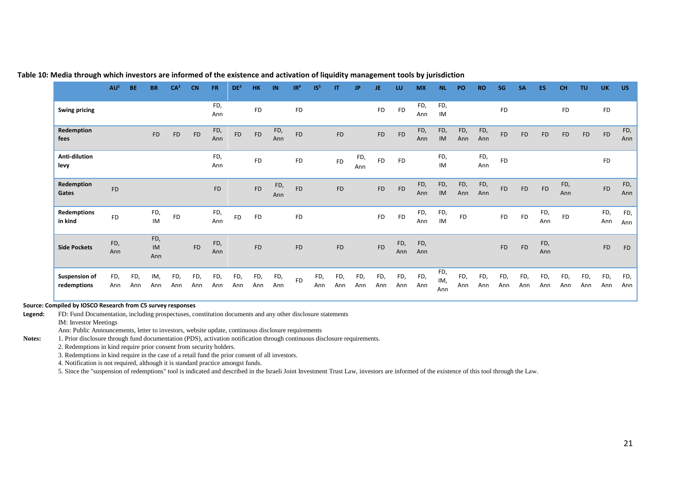|                                     | AU <sup>1</sup> | <b>BE</b>  | <b>BR</b>        | CA <sup>2</sup> | <b>CN</b>  | <b>FR</b>  | DE <sup>3</sup> | HK         | IN         | IR <sup>4</sup> | IS <sup>5</sup> | IT         | JP.        | JE         | LU         | <b>MX</b>  | <b>NL</b>         | PO         | <b>RO</b>  | SG         | <b>SA</b>  | <b>ES</b>  | <b>CH</b>  | <b>TU</b>  | <b>UK</b>  | <b>US</b>  |
|-------------------------------------|-----------------|------------|------------------|-----------------|------------|------------|-----------------|------------|------------|-----------------|-----------------|------------|------------|------------|------------|------------|-------------------|------------|------------|------------|------------|------------|------------|------------|------------|------------|
| <b>Swing pricing</b>                |                 |            |                  |                 |            | FD,<br>Ann |                 | <b>FD</b>  |            | <b>FD</b>       |                 |            |            | ${\sf FD}$ | <b>FD</b>  | FD,<br>Ann | FD,<br>IM         |            |            | <b>FD</b>  |            |            | <b>FD</b>  |            | <b>FD</b>  |            |
| Redemption<br>fees                  |                 |            | <b>FD</b>        | <b>FD</b>       | <b>FD</b>  | FD,<br>Ann | <b>FD</b>       | <b>FD</b>  | FD,<br>Ann | <b>FD</b>       |                 | <b>FD</b>  |            | ${\sf FD}$ | <b>FD</b>  | FD,<br>Ann | FD,<br>IM         | FD,<br>Ann | FD,<br>Ann | <b>FD</b>  | <b>FD</b>  | <b>FD</b>  | <b>FD</b>  | ${\sf FD}$ | FD         | FD,<br>Ann |
| Anti-dilution<br>levy               |                 |            |                  |                 |            | FD,<br>Ann |                 | <b>FD</b>  |            | ${\sf FD}$      |                 | <b>FD</b>  | FD,<br>Ann | <b>FD</b>  | <b>FD</b>  |            | FD,<br>IM         |            | FD,<br>Ann | FD         |            |            |            |            | <b>FD</b>  |            |
| Redemption<br>Gates                 | <b>FD</b>       |            |                  |                 |            | <b>FD</b>  |                 | <b>FD</b>  | FD,<br>Ann | <b>FD</b>       |                 | ${\sf FD}$ |            | ${\sf FD}$ | <b>FD</b>  | FD,<br>Ann | FD,<br>IM         | FD,<br>Ann | FD,<br>Ann | <b>FD</b>  | <b>FD</b>  | ${\sf FD}$ | FD,<br>Ann |            | FD         | FD,<br>Ann |
| <b>Redemptions</b><br>in kind       | <b>FD</b>       |            | FD,<br><b>IM</b> | <b>FD</b>       |            | FD,<br>Ann | <b>FD</b>       | <b>FD</b>  |            | FD              |                 |            |            | <b>FD</b>  | <b>FD</b>  | FD,<br>Ann | FD,<br>IM         | <b>FD</b>  |            | <b>FD</b>  | <b>FD</b>  | FD,<br>Ann | <b>FD</b>  |            | FD,<br>Ann | FD,<br>Ann |
| <b>Side Pockets</b>                 | FD,<br>Ann      |            | FD,<br>IM<br>Ann |                 | <b>FD</b>  | FD,<br>Ann |                 | <b>FD</b>  |            | <b>FD</b>       |                 | <b>FD</b>  |            | <b>FD</b>  | FD,<br>Ann | FD,<br>Ann |                   |            |            | <b>FD</b>  | <b>FD</b>  | FD,<br>Ann |            |            | <b>FD</b>  | <b>FD</b>  |
| <b>Suspension of</b><br>redemptions | FD,<br>Ann      | FD,<br>Ann | IM,<br>Ann       | FD,<br>Ann      | FD,<br>Ann | FD,<br>Ann | FD,<br>Ann      | FD,<br>Ann | FD,<br>Ann | <b>FD</b>       | FD,<br>Ann      | FD,<br>Ann | FD,<br>Ann | FD,<br>Ann | FD,<br>Ann | FD,<br>Ann | FD,<br>IM,<br>Ann | FD,<br>Ann | FD,<br>Ann | FD,<br>Ann | FD,<br>Ann | FD,<br>Ann | FD,<br>Ann | FD,<br>Ann | FD,<br>Ann | FD,<br>Ann |

#### **Table 10: Media through which investors are informed of the existence and activation of liquidity management tools by jurisdiction**

#### <span id="page-25-0"></span>**Source: Compiled by IOSCO Research from C5 survey responses**

**Legend:** FD: Fund Documentation, including prospectuses, constitution documents and any other disclosure statements IM: Investor Meetings

Ann: Public Announcements, letter to investors, website update, continuous disclosure requirements

**Notes:** 1. Prior disclosure through fund documentation (PDS), activation notification through continuous disclosure requirements.

2. Redemptions in kind require prior consent from security holders.

3. Redemptions in kind require in the case of a retail fund the prior consent of all investors.

4. Notification is not required, although it is standard practice amongst funds.

5. Since the "suspension of redemptions" tool is indicated and described in the Israeli Joint Investment Trust Law, investors are informed of the existence of this tool through the Law.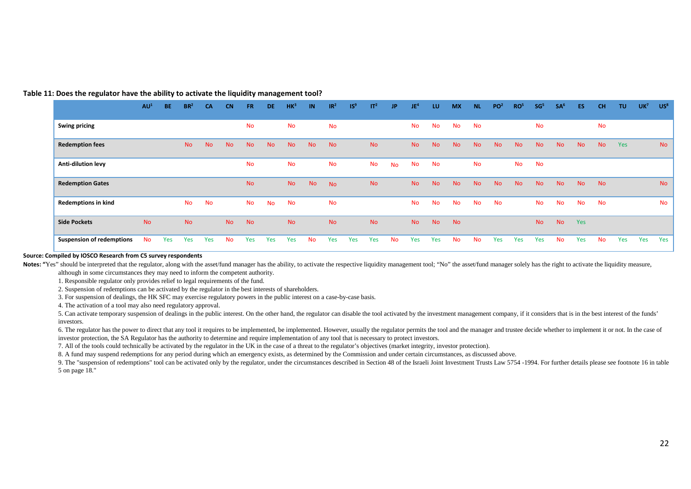#### **Table 11: Does the regulator have the ability to activate the liquidity management tool?**

|                                  | AU <sup>1</sup> | <b>BE</b> | BR <sup>2</sup> | <b>CA</b> | <b>CN</b> | <b>FR</b> | DE.       | HK <sup>3</sup> | <b>IN</b> | IR <sup>2</sup> | IS <sup>9</sup> | IT <sup>2</sup> | <b>JP</b> | JE <sup>4</sup> | LU        | <b>MX</b> | <b>NL</b> | PO <sup>2</sup> | RO <sup>5</sup> | SG <sup>5</sup> | SA <sup>6</sup> | ES.       | <b>CH</b> | <b>TU</b> | UK <sup>7</sup> | US <sup>8</sup> |
|----------------------------------|-----------------|-----------|-----------------|-----------|-----------|-----------|-----------|-----------------|-----------|-----------------|-----------------|-----------------|-----------|-----------------|-----------|-----------|-----------|-----------------|-----------------|-----------------|-----------------|-----------|-----------|-----------|-----------------|-----------------|
| <b>Swing pricing</b>             |                 |           |                 |           |           | <b>No</b> |           | <b>No</b>       |           | <b>No</b>       |                 |                 |           | No              | <b>No</b> | No        | <b>No</b> |                 |                 | <b>No</b>       |                 |           | No        |           |                 |                 |
| <b>Redemption fees</b>           |                 |           | <b>No</b>       | <b>No</b> | <b>No</b> | <b>No</b> | <b>No</b> | <b>No</b>       | <b>No</b> | <b>No</b>       |                 | <b>No</b>       |           | <b>No</b>       | <b>No</b> | <b>No</b> | <b>No</b> | <b>No</b>       | <b>No</b>       | <b>No</b>       | <b>No</b>       | <b>No</b> | <b>No</b> | Yes       |                 | <b>No</b>       |
| Anti-dilution levy               |                 |           |                 |           |           | <b>No</b> |           | <b>No</b>       |           | No              |                 | <b>No</b>       | <b>No</b> | No              | <b>No</b> |           | <b>No</b> |                 | <b>No</b>       | <b>No</b>       |                 |           |           |           |                 |                 |
| <b>Redemption Gates</b>          |                 |           |                 |           |           | <b>No</b> |           | <b>No</b>       | <b>No</b> | <b>No</b>       |                 | <b>No</b>       |           | <b>No</b>       | <b>No</b> | <b>No</b> | <b>No</b> | <b>No</b>       | <b>No</b>       | <b>No</b>       | <b>No</b>       | <b>No</b> | <b>No</b> |           |                 | <b>No</b>       |
| <b>Redemptions in kind</b>       |                 |           | <b>No</b>       | No        |           | No        | <b>No</b> | No              |           | No              |                 |                 |           | No              | <b>No</b> | <b>No</b> | No        | <b>No</b>       |                 | <b>No</b>       | <b>No</b>       | <b>No</b> | No        |           |                 | No              |
| <b>Side Pockets</b>              | <b>No</b>       |           | <b>No</b>       |           | <b>No</b> | <b>No</b> |           | <b>No</b>       |           | <b>No</b>       |                 | <b>No</b>       |           | <b>No</b>       | <b>No</b> | <b>No</b> |           |                 |                 | <b>No</b>       | <b>No</b>       | Yes       |           |           |                 |                 |
| <b>Suspension of redemptions</b> | <b>No</b>       | Yes       | Yes             | Yes       | No.       | Yes       | Yes       | Yes             | <b>No</b> | Yes             | Yes             | Yes             | No.       | Yes             | Yes       | <b>No</b> | <b>No</b> | Yes             | Yes             | Yes             | <b>No</b>       | Yes       | <b>No</b> | Yes       | Yes             | Yes             |

#### **Source: Compiled by IOSCO Research from C5 survey respondents**

<span id="page-26-0"></span>Notes: "Yes" should be interpreted that the regulator, along with the asset/fund manager has the ability, to activate the respective liquidity management tool; "No" the asset/fund manager solely has the right to activate t

although in some circumstances they may need to inform the competent authority.

1. Responsible regulator only provides relief to legal requirements of the fund.

2. Suspension of redemptions can be activated by the regulator in the best interests of shareholders.

3. For suspension of dealings, the HK SFC may exercise regulatory powers in the public interest on a case-by-case basis.

4. The activation of a tool may also need regulatory approval.

5. Can activate temporary suspension of dealings in the public interest. On the other hand, the regulator can disable the tool activated by the investment management company, if it considers that is in the best interest of investors.

6. The regulator has the power to direct that any tool it requires to be implemented, be implemented. However, usually the regulator permits the tool and the manager and trustee decide whether to implement it or not. In th investor protection, the SA Regulator has the authority to determine and require implementation of any tool that is necessary to protect investors.

7. All of the tools could technically be activated by the regulator in the UK in the case of a threat to the regulator's objectives (market integrity, investor protection).

8. A fund may suspend redemptions for any period during which an emergency exists, as determined by the Commission and under certain circumstances, as discussed above.

9. The "suspension of redemptions" tool can be activated only by the regulator, under the circumstances described in Section 48 of the Israeli Joint Investment Trusts Law 5754 -1994. For further details please see footnote 5 on page 18."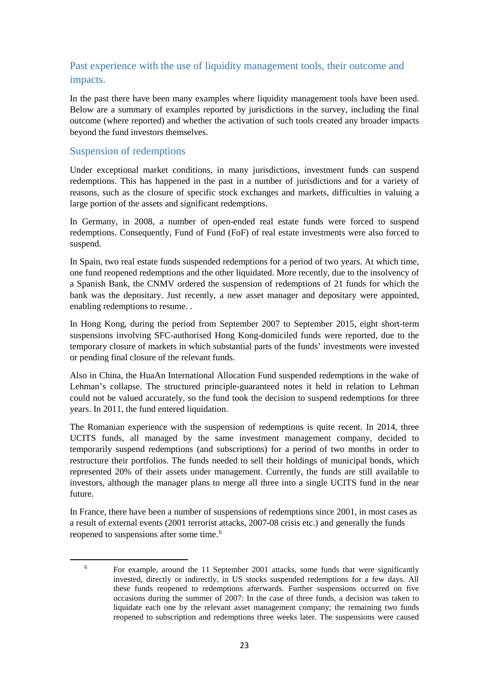### <span id="page-27-0"></span>Past experience with the use of liquidity management tools, their outcome and impacts.

In the past there have been many examples where liquidity management tools have been used. Below are a summary of examples reported by jurisdictions in the survey, including the final outcome (where reported) and whether the activation of such tools created any broader impacts beyond the fund investors themselves.

### Suspension of redemptions

<span id="page-27-1"></span>**.** 

Under exceptional market conditions, in many jurisdictions, investment funds can suspend redemptions. This has happened in the past in a number of jurisdictions and for a variety of reasons, such as the closure of specific stock exchanges and markets, difficulties in valuing a large portion of the assets and significant redemptions.

In Germany, in 2008, a number of open-ended real estate funds were forced to suspend redemptions. Consequently, Fund of Fund (FoF) of real estate investments were also forced to suspend.

In Spain, two real estate funds suspended redemptions for a period of two years. At which time, one fund reopened redemptions and the other liquidated. More recently, due to the insolvency of a Spanish Bank, the CNMV ordered the suspension of redemptions of 21 funds for which the bank was the depositary. Just recently, a new asset manager and depositary were appointed, enabling redemptions to resume. .

In Hong Kong, during the period from September 2007 to September 2015, eight short-term suspensions involving SFC-authorised Hong Kong-domiciled funds were reported, due to the temporary closure of markets in which substantial parts of the funds' investments were invested or pending final closure of the relevant funds.

Also in China, the HuaAn International Allocation Fund suspended redemptions in the wake of Lehman's collapse. The structured principle-guaranteed notes it held in relation to Lehman could not be valued accurately, so the fund took the decision to suspend redemptions for three years. In 2011, the fund entered liquidation.

The Romanian experience with the suspension of redemptions is quite recent. In 2014, three UCITS funds, all managed by the same investment management company, decided to temporarily suspend redemptions (and subscriptions) for a period of two months in order to restructure their portfolios. The funds needed to sell their holdings of municipal bonds, which represented 20% of their assets under management. Currently, the funds are still available to investors, although the manager plans to merge all three into a single UCITS fund in the near future.

In France, there have been a number of suspensions of redemptions since 2001, in most cases as a result of external events (2001 terrorist attacks, 2007-08 crisis etc.) and generally the funds reopened to suspensions after some time.<sup>[6](#page-27-1)</sup>

<sup>6</sup> For example, around the 11 September 2001 attacks, some funds that were significantly invested, directly or indirectly, in US stocks suspended redemptions for a few days. All these funds reopened to redemptions afterwards. Further suspensions occurred on five occasions during the summer of 2007: In the case of three funds, a decision was taken to liquidate each one by the relevant asset management company; the remaining two funds reopened to subscription and redemptions three weeks later. The suspensions were caused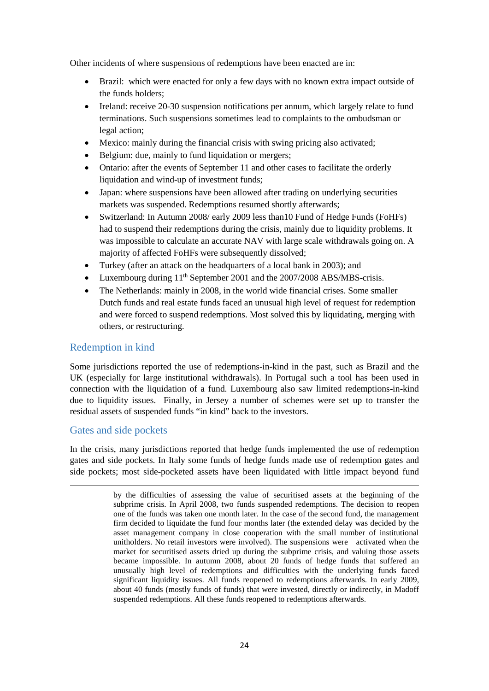Other incidents of where suspensions of redemptions have been enacted are in:

- Brazil: which were enacted for only a few days with no known extra impact outside of the funds holders;
- Ireland: receive 20-30 suspension notifications per annum, which largely relate to fund terminations. Such suspensions sometimes lead to complaints to the ombudsman or legal action;
- Mexico: mainly during the financial crisis with swing pricing also activated;
- Belgium: due, mainly to fund liquidation or mergers;
- Ontario: after the events of September 11 and other cases to facilitate the orderly liquidation and wind-up of investment funds;
- Japan: where suspensions have been allowed after trading on underlying securities markets was suspended. Redemptions resumed shortly afterwards;
- Switzerland: In Autumn 2008/ early 2009 less than 10 Fund of Hedge Funds (FoHFs) had to suspend their redemptions during the crisis, mainly due to liquidity problems. It was impossible to calculate an accurate NAV with large scale withdrawals going on. A majority of affected FoHFs were subsequently dissolved;
- Turkey (after an attack on the headquarters of a local bank in 2003); and
- Luxembourg during 11<sup>th</sup> September 2001 and the 2007/2008 ABS/MBS-crisis.
- The Netherlands: mainly in 2008, in the world wide financial crises. Some smaller Dutch funds and real estate funds faced an unusual high level of request for redemption and were forced to suspend redemptions. Most solved this by liquidating, merging with others, or restructuring.

### Redemption in kind

Some jurisdictions reported the use of redemptions-in-kind in the past, such as Brazil and the UK (especially for large institutional withdrawals). In Portugal such a tool has been used in connection with the liquidation of a fund. Luxembourg also saw limited redemptions-in-kind due to liquidity issues. Finally, in Jersey a number of schemes were set up to transfer the residual assets of suspended funds "in kind" back to the investors.

### Gates and side pockets

 $\overline{a}$ 

In the crisis, many jurisdictions reported that hedge funds implemented the use of redemption gates and side pockets. In Italy some funds of hedge funds made use of redemption gates and side pockets; most side-pocketed assets have been liquidated with little impact beyond fund

by the difficulties of assessing the value of securitised assets at the beginning of the subprime crisis. In April 2008, two funds suspended redemptions. The decision to reopen one of the funds was taken one month later. In the case of the second fund, the management firm decided to liquidate the fund four months later (the extended delay was decided by the asset management company in close cooperation with the small number of institutional unitholders. No retail investors were involved). The suspensions were activated when the market for securitised assets dried up during the subprime crisis, and valuing those assets became impossible. In autumn 2008, about 20 funds of hedge funds that suffered an unusually high level of redemptions and difficulties with the underlying funds faced significant liquidity issues. All funds reopened to redemptions afterwards. In early 2009, about 40 funds (mostly funds of funds) that were invested, directly or indirectly, in Madoff suspended redemptions. All these funds reopened to redemptions afterwards.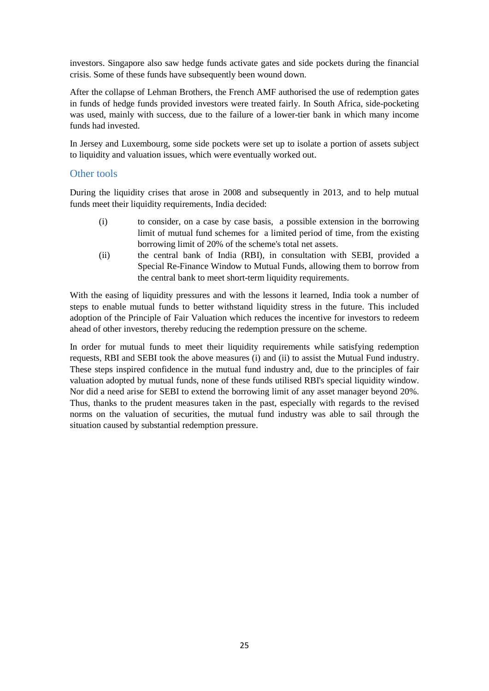investors. Singapore also saw hedge funds activate gates and side pockets during the financial crisis. Some of these funds have subsequently been wound down.

After the collapse of Lehman Brothers, the French AMF authorised the use of redemption gates in funds of hedge funds provided investors were treated fairly. In South Africa, side-pocketing was used, mainly with success, due to the failure of a lower-tier bank in which many income funds had invested.

In Jersey and Luxembourg, some side pockets were set up to isolate a portion of assets subject to liquidity and valuation issues, which were eventually worked out.

### Other tools

During the liquidity crises that arose in 2008 and subsequently in 2013, and to help mutual funds meet their liquidity requirements, India decided:

- (i) to consider, on a case by case basis, a possible extension in the borrowing limit of mutual fund schemes for a limited period of time, from the existing borrowing limit of 20% of the scheme's total net assets.
- (ii) the central bank of India (RBI), in consultation with SEBI, provided a Special Re-Finance Window to Mutual Funds, allowing them to borrow from the central bank to meet short-term liquidity requirements.

With the easing of liquidity pressures and with the lessons it learned, India took a number of steps to enable mutual funds to better withstand liquidity stress in the future. This included adoption of the Principle of Fair Valuation which reduces the incentive for investors to redeem ahead of other investors, thereby reducing the redemption pressure on the scheme.

<span id="page-29-0"></span>In order for mutual funds to meet their liquidity requirements while satisfying redemption requests, RBI and SEBI took the above measures (i) and (ii) to assist the Mutual Fund industry. These steps inspired confidence in the mutual fund industry and, due to the principles of fair valuation adopted by mutual funds, none of these funds utilised RBI's special liquidity window. Nor did a need arise for SEBI to extend the borrowing limit of any asset manager beyond 20%. Thus, thanks to the prudent measures taken in the past, especially with regards to the revised norms on the valuation of securities, the mutual fund industry was able to sail through the situation caused by substantial redemption pressure.